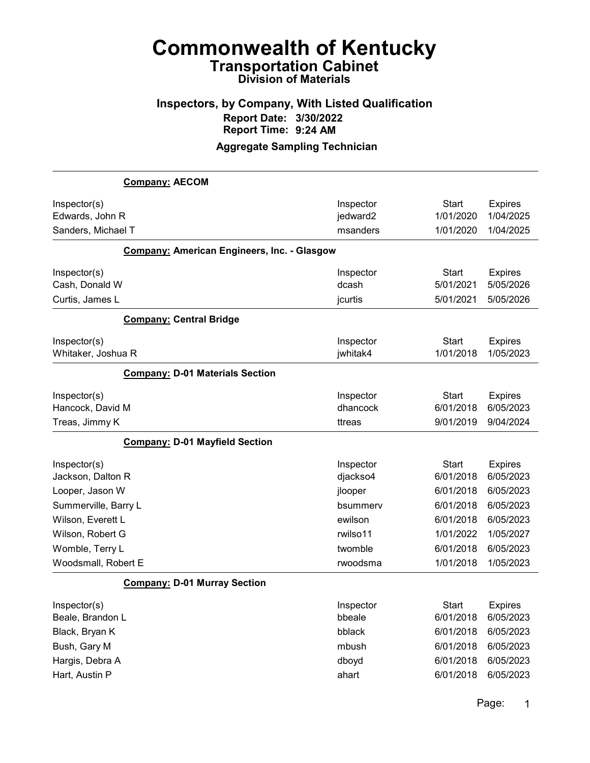## Inspectors, by Company, With Listed Qualification Report Date: 3/30/2022 Report Time: 9:24 AM

#### Aggregate Sampling Technician

|                      | <b>Company: AECOM</b>                              |           |              |                |
|----------------------|----------------------------------------------------|-----------|--------------|----------------|
| Inspector(s)         |                                                    | Inspector | <b>Start</b> | <b>Expires</b> |
| Edwards, John R      |                                                    | jedward2  | 1/01/2020    | 1/04/2025      |
| Sanders, Michael T   |                                                    | msanders  | 1/01/2020    | 1/04/2025      |
|                      | <b>Company: American Engineers, Inc. - Glasgow</b> |           |              |                |
| Inspector(s)         |                                                    | Inspector | <b>Start</b> | <b>Expires</b> |
| Cash, Donald W       |                                                    | dcash     | 5/01/2021    | 5/05/2026      |
| Curtis, James L      |                                                    | jcurtis   | 5/01/2021    | 5/05/2026      |
|                      | <b>Company: Central Bridge</b>                     |           |              |                |
| Inspector(s)         |                                                    | Inspector | <b>Start</b> | <b>Expires</b> |
| Whitaker, Joshua R   |                                                    | jwhitak4  | 1/01/2018    | 1/05/2023      |
|                      | <b>Company: D-01 Materials Section</b>             |           |              |                |
| Inspector(s)         |                                                    | Inspector | <b>Start</b> | <b>Expires</b> |
| Hancock, David M     |                                                    | dhancock  | 6/01/2018    | 6/05/2023      |
| Treas, Jimmy K       |                                                    | ttreas    | 9/01/2019    | 9/04/2024      |
|                      | <b>Company: D-01 Mayfield Section</b>              |           |              |                |
| Inspector(s)         |                                                    | Inspector | <b>Start</b> | <b>Expires</b> |
| Jackson, Dalton R    |                                                    | djackso4  | 6/01/2018    | 6/05/2023      |
| Looper, Jason W      |                                                    | jlooper   | 6/01/2018    | 6/05/2023      |
| Summerville, Barry L |                                                    | bsummerv  | 6/01/2018    | 6/05/2023      |
| Wilson, Everett L    |                                                    | ewilson   | 6/01/2018    | 6/05/2023      |
| Wilson, Robert G     |                                                    | rwilso11  | 1/01/2022    | 1/05/2027      |
| Womble, Terry L      |                                                    | twomble   | 6/01/2018    | 6/05/2023      |
| Woodsmall, Robert E  |                                                    | rwoodsma  | 1/01/2018    | 1/05/2023      |
|                      | <b>Company: D-01 Murray Section</b>                |           |              |                |
| Inspector(s)         |                                                    | Inspector | Start        | <b>Expires</b> |
| Beale, Brandon L     |                                                    | bbeale    | 6/01/2018    | 6/05/2023      |
| Black, Bryan K       |                                                    | bblack    | 6/01/2018    | 6/05/2023      |
| Bush, Gary M         |                                                    | mbush     | 6/01/2018    | 6/05/2023      |
| Hargis, Debra A      |                                                    | dboyd     | 6/01/2018    | 6/05/2023      |
| Hart, Austin P       |                                                    | ahart     | 6/01/2018    | 6/05/2023      |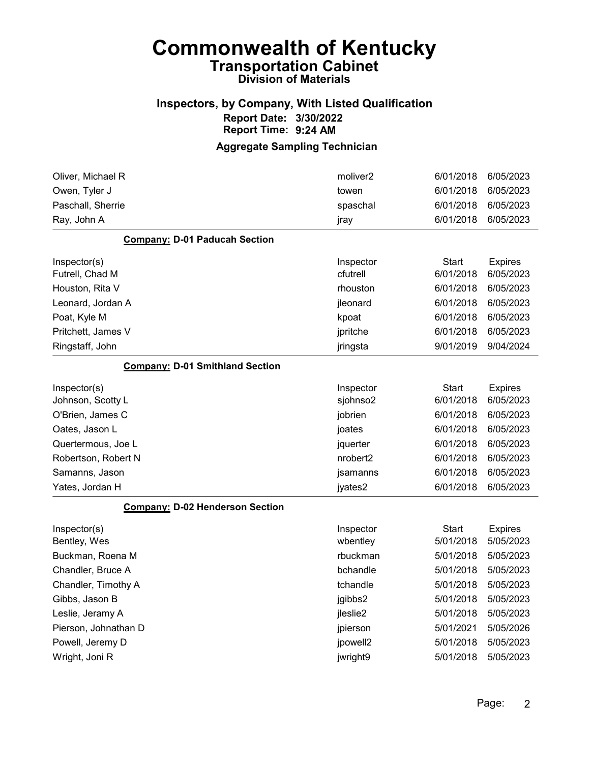## Inspectors, by Company, With Listed Qualification Report Date: 3/30/2022 Report Time: 9:24 AM

| Oliver, Michael R                      | moliver <sub>2</sub> | 6/01/2018    | 6/05/2023      |
|----------------------------------------|----------------------|--------------|----------------|
| Owen, Tyler J                          | towen                | 6/01/2018    | 6/05/2023      |
| Paschall, Sherrie                      | spaschal             | 6/01/2018    | 6/05/2023      |
| Ray, John A                            | jray                 | 6/01/2018    | 6/05/2023      |
| <b>Company: D-01 Paducah Section</b>   |                      |              |                |
| Inspector(s)                           | Inspector            | <b>Start</b> | <b>Expires</b> |
| Futrell, Chad M                        | cfutrell             | 6/01/2018    | 6/05/2023      |
| Houston, Rita V                        | rhouston             | 6/01/2018    | 6/05/2023      |
| Leonard, Jordan A                      | jleonard             | 6/01/2018    | 6/05/2023      |
| Poat, Kyle M                           | kpoat                | 6/01/2018    | 6/05/2023      |
| Pritchett, James V                     | jpritche             | 6/01/2018    | 6/05/2023      |
| Ringstaff, John                        | jringsta             | 9/01/2019    | 9/04/2024      |
| <b>Company: D-01 Smithland Section</b> |                      |              |                |
| Inspector(s)                           | Inspector            | <b>Start</b> | <b>Expires</b> |
| Johnson, Scotty L                      | sjohnso2             | 6/01/2018    | 6/05/2023      |
| O'Brien, James C                       | jobrien              | 6/01/2018    | 6/05/2023      |
| Oates, Jason L                         | joates               | 6/01/2018    | 6/05/2023      |
| Quertermous, Joe L                     | jquerter             | 6/01/2018    | 6/05/2023      |
| Robertson, Robert N                    | nrobert <sub>2</sub> | 6/01/2018    | 6/05/2023      |
| Samanns, Jason                         | jsamanns             | 6/01/2018    | 6/05/2023      |
| Yates, Jordan H                        | jyates2              | 6/01/2018    | 6/05/2023      |
| <b>Company: D-02 Henderson Section</b> |                      |              |                |
| Inspector(s)                           | Inspector            | <b>Start</b> | <b>Expires</b> |
| Bentley, Wes                           | wbentley             | 5/01/2018    | 5/05/2023      |
| Buckman, Roena M                       | rbuckman             | 5/01/2018    | 5/05/2023      |
| Chandler, Bruce A                      | bchandle             | 5/01/2018    | 5/05/2023      |
| Chandler, Timothy A                    | tchandle             | 5/01/2018    | 5/05/2023      |
| Gibbs, Jason B                         | jgibbs2              | 5/01/2018    | 5/05/2023      |
| Leslie, Jeramy A                       | jleslie2             | 5/01/2018    | 5/05/2023      |
| Pierson, Johnathan D                   | jpierson             | 5/01/2021    | 5/05/2026      |
| Powell, Jeremy D                       | jpowell2             | 5/01/2018    | 5/05/2023      |
| Wright, Joni R                         | jwright9             | 5/01/2018    | 5/05/2023      |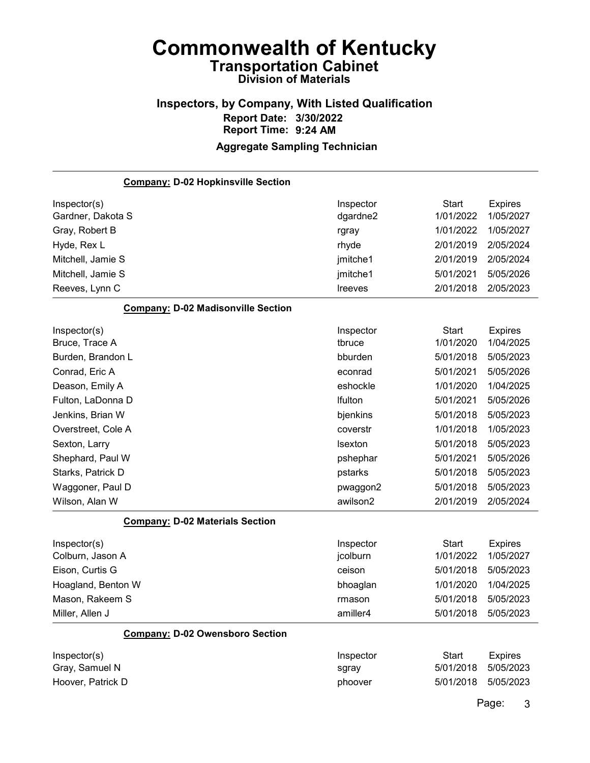### Inspectors, by Company, With Listed Qualification Report Date: 3/30/2022 Report Time: 9:24 AM Aggregate Sampling Technician

## Company: D-02 Hopkinsville Section Inspector(s) **Inspector** Start Expires Gardner, Dakota S dgardne2 1/01/2022 1/05/2027 Gray, Robert B rgray 1/01/2022 1/05/2027 Hyde, Rex L rhyde 2/01/2019 2/05/2024 Mitchell, Jamie S jmitche1 2/01/2019 2/05/2024 Mitchell, Jamie S jmitche1 5/01/2021 5/05/2026 Reeves, Lynn C lreeves 2/01/2018 2/05/2023 Company: D-02 Madisonville Section Inspector(s) **Inspector** Start Expires Bruce, Trace A tbruce 1/01/2020 1/04/2025 Burden, Brandon L bburden 5/01/2018 5/05/2023 Conrad, Eric A econrad 5/01/2021 5/05/2026 Deason, Emily A eshockle 1/01/2020 1/04/2025 Fulton, LaDonna D lfulton 5/01/2021 5/05/2026 Jenkins, Brian W bjenkins 5/01/2018 5/05/2023 Overstreet, Cole A coverstr 1/01/2018 1/05/2023 Sexton, Larry lsexton 5/01/2018 5/05/2023 Shephard, Paul W pshephar 5/01/2021 5/05/2026 Starks, Patrick D pstarks 5/01/2018 5/05/2023 Waggoner, Paul D **pwaggon2** 5/01/2018 5/05/2023 Wilson, Alan W awilson2 2/01/2019 2/05/2024 Company: D-02 Materials Section Inspector(s) **Inspector** Start Expires Colburn, Jason A jcolburn 1/01/2022 1/05/2027 Eison, Curtis G ceison 5/01/2018 5/05/2023 Hoagland, Benton W bhoaglan 1/01/2020 1/04/2025 Mason, Rakeem S rmason 5/01/2018 5/05/2023 Miller, Allen J **amiller4** 5/01/2018 5/05/2023 Company: D-02 Owensboro Section Inspector(s) **Inspector** Start Expires Gray, Samuel N sgray 5/01/2018 5/05/2023

Hoover, Patrick D **phoover** 5/01/2018 5/05/2023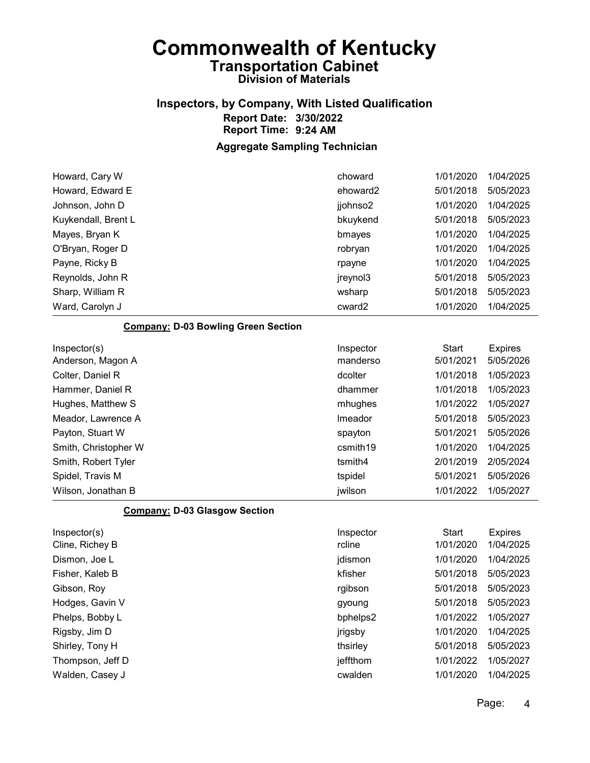# Inspectors, by Company, With Listed Qualification Report Date: 3/30/2022 Report Time: 9:24 AM

| Howard, Cary W                             | choward   | 1/01/2020    | 1/04/2025      |
|--------------------------------------------|-----------|--------------|----------------|
| Howard, Edward E                           | ehoward2  | 5/01/2018    | 5/05/2023      |
| Johnson, John D                            | jjohnso2  | 1/01/2020    | 1/04/2025      |
| Kuykendall, Brent L                        | bkuykend  | 5/01/2018    | 5/05/2023      |
| Mayes, Bryan K                             | bmayes    | 1/01/2020    | 1/04/2025      |
| O'Bryan, Roger D                           | robryan   | 1/01/2020    | 1/04/2025      |
| Payne, Ricky B                             | rpayne    | 1/01/2020    | 1/04/2025      |
| Reynolds, John R                           | jreynol3  | 5/01/2018    | 5/05/2023      |
| Sharp, William R                           | wsharp    | 5/01/2018    | 5/05/2023      |
| Ward, Carolyn J                            | cward2    | 1/01/2020    | 1/04/2025      |
| <b>Company: D-03 Bowling Green Section</b> |           |              |                |
| Inspector(s)                               | Inspector | <b>Start</b> | <b>Expires</b> |
| Anderson, Magon A                          | manderso  | 5/01/2021    | 5/05/2026      |
| Colter, Daniel R                           | dcolter   | 1/01/2018    | 1/05/2023      |
| Hammer, Daniel R                           | dhammer   | 1/01/2018    | 1/05/2023      |
| Hughes, Matthew S                          | mhughes   | 1/01/2022    | 1/05/2027      |
| Meador, Lawrence A                         | Imeador   | 5/01/2018    | 5/05/2023      |
| Payton, Stuart W                           | spayton   | 5/01/2021    | 5/05/2026      |
| Smith, Christopher W                       | csmith19  | 1/01/2020    | 1/04/2025      |
| Smith, Robert Tyler                        | tsmith4   | 2/01/2019    | 2/05/2024      |
| Spidel, Travis M                           | tspidel   | 5/01/2021    | 5/05/2026      |
| Wilson, Jonathan B                         | jwilson   | 1/01/2022    | 1/05/2027      |
| <b>Company: D-03 Glasgow Section</b>       |           |              |                |
| Inspector(s)                               | Inspector | <b>Start</b> | <b>Expires</b> |
| Cline, Richey B                            | rcline    | 1/01/2020    | 1/04/2025      |
| Dismon, Joe L                              | jdismon   | 1/01/2020    | 1/04/2025      |
| Fisher, Kaleb B                            | kfisher   | 5/01/2018    | 5/05/2023      |
| Gibson, Roy                                | rgibson   | 5/01/2018    | 5/05/2023      |
| Hodges, Gavin V                            | gyoung    | 5/01/2018    | 5/05/2023      |
| Phelps, Bobby L                            | bphelps2  | 1/01/2022    | 1/05/2027      |
| Rigsby, Jim D                              | jrigsby   | 1/01/2020    | 1/04/2025      |
| Shirley, Tony H                            | thsirley  | 5/01/2018    | 5/05/2023      |
| Thompson, Jeff D                           | jeffthom  | 1/01/2022    | 1/05/2027      |
| Walden, Casey J                            | cwalden   | 1/01/2020    | 1/04/2025      |
|                                            |           |              |                |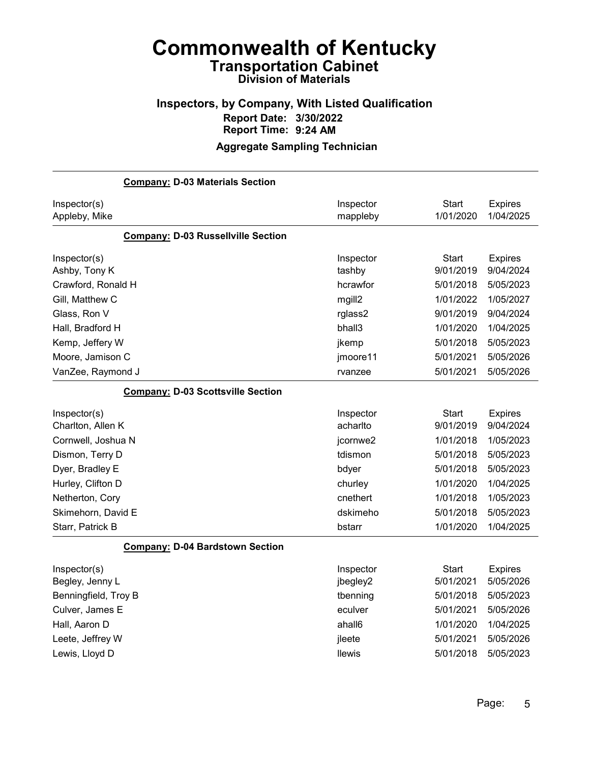## Inspectors, by Company, With Listed Qualification Report Date: 3/30/2022 Report Time: 9:24 AM

| <b>Company: D-03 Materials Section</b>    |               |              |                |
|-------------------------------------------|---------------|--------------|----------------|
| Inspector(s)                              | Inspector     | <b>Start</b> | <b>Expires</b> |
| Appleby, Mike                             | mappleby      | 1/01/2020    | 1/04/2025      |
| <b>Company: D-03 Russellville Section</b> |               |              |                |
| Inspector(s)                              | Inspector     | <b>Start</b> | <b>Expires</b> |
| Ashby, Tony K                             | tashby        | 9/01/2019    | 9/04/2024      |
| Crawford, Ronald H                        | hcrawfor      | 5/01/2018    | 5/05/2023      |
| Gill, Matthew C                           | mgill2        | 1/01/2022    | 1/05/2027      |
| Glass, Ron V                              | rglass2       | 9/01/2019    | 9/04/2024      |
| Hall, Bradford H                          | bhall3        | 1/01/2020    | 1/04/2025      |
| Kemp, Jeffery W                           | jkemp         | 5/01/2018    | 5/05/2023      |
| Moore, Jamison C                          | jmoore11      | 5/01/2021    | 5/05/2026      |
| VanZee, Raymond J                         | rvanzee       | 5/01/2021    | 5/05/2026      |
| <b>Company: D-03 Scottsville Section</b>  |               |              |                |
| Inspector(s)                              | Inspector     | <b>Start</b> | <b>Expires</b> |
| Charlton, Allen K                         | acharlto      | 9/01/2019    | 9/04/2024      |
| Cornwell, Joshua N                        | jcornwe2      | 1/01/2018    | 1/05/2023      |
| Dismon, Terry D                           | tdismon       | 5/01/2018    | 5/05/2023      |
| Dyer, Bradley E                           | bdyer         | 5/01/2018    | 5/05/2023      |
| Hurley, Clifton D                         | churley       | 1/01/2020    | 1/04/2025      |
| Netherton, Cory                           | cnethert      | 1/01/2018    | 1/05/2023      |
| Skimehorn, David E                        | dskimeho      | 5/01/2018    | 5/05/2023      |
| Starr, Patrick B                          | bstarr        | 1/01/2020    | 1/04/2025      |
| <b>Company: D-04 Bardstown Section</b>    |               |              |                |
| Inspector(s)                              | Inspector     | <b>Start</b> | <b>Expires</b> |
| Begley, Jenny L                           | jbegley2      | 5/01/2021    | 5/05/2026      |
| Benningfield, Troy B                      | tbenning      | 5/01/2018    | 5/05/2023      |
| Culver, James E                           | eculver       | 5/01/2021    | 5/05/2026      |
| Hall, Aaron D                             | ahall6        | 1/01/2020    | 1/04/2025      |
| Leete, Jeffrey W                          | jleete        | 5/01/2021    | 5/05/2026      |
| Lewis, Lloyd D                            | <b>Ilewis</b> | 5/01/2018    | 5/05/2023      |
|                                           |               |              |                |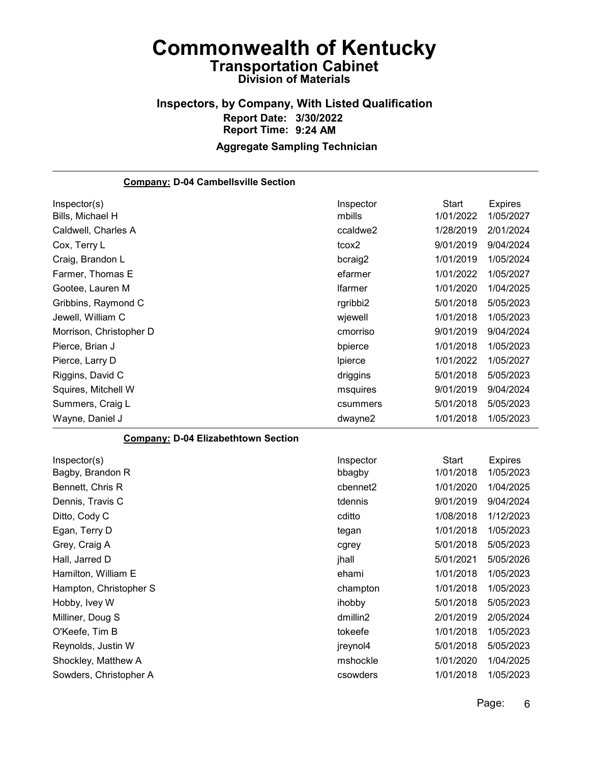## Inspectors, by Company, With Listed Qualification Report Date: 3/30/2022 Report Time: 9:24 AM Aggregate Sampling Technician

| <b>Company: D-04 Cambellsville Section</b> |                |              |                |
|--------------------------------------------|----------------|--------------|----------------|
| Inspector(s)                               | Inspector      | <b>Start</b> | <b>Expires</b> |
| Bills, Michael H                           | mbills         | 1/01/2022    | 1/05/2027      |
| Caldwell, Charles A                        | ccaldwe2       | 1/28/2019    | 2/01/2024      |
| Cox, Terry L                               | tcox2          | 9/01/2019    | 9/04/2024      |
| Craig, Brandon L                           | bcraig2        | 1/01/2019    | 1/05/2024      |
| Farmer, Thomas E                           | efarmer        | 1/01/2022    | 1/05/2027      |
| Gootee, Lauren M                           | <b>Ifarmer</b> | 1/01/2020    | 1/04/2025      |
| Gribbins, Raymond C                        | rgribbi2       | 5/01/2018    | 5/05/2023      |
| Jewell, William C                          | wjewell        | 1/01/2018    | 1/05/2023      |
| Morrison, Christopher D                    | cmorriso       | 9/01/2019    | 9/04/2024      |
| Pierce, Brian J                            | bpierce        | 1/01/2018    | 1/05/2023      |
| Pierce, Larry D                            | Ipierce        | 1/01/2022    | 1/05/2027      |
| Riggins, David C                           | driggins       | 5/01/2018    | 5/05/2023      |
| Squires, Mitchell W                        | msquires       | 9/01/2019    | 9/04/2024      |
| Summers, Craig L                           | csummers       | 5/01/2018    | 5/05/2023      |
| Wayne, Daniel J                            | dwayne2        | 1/01/2018    | 1/05/2023      |
| <b>Company: D-04 Elizabethtown Section</b> |                |              |                |
| Inspector(s)                               | Inspector      | <b>Start</b> | Expires        |
| Bagby, Brandon R                           | bbagby         | 1/01/2018    | 1/05/2023      |
| Bennett, Chris R                           | cbennet2       | 1/01/2020    | 1/04/2025      |
| Dennis, Travis C                           | tdennis        | 9/01/2019    | 9/04/2024      |
| Ditto, Cody C                              | cditto         | 1/08/2018    | 1/12/2023      |
| Egan, Terry D                              | tegan          | 1/01/2018    | 1/05/2023      |
| Grey, Craig A                              | cgrey          | 5/01/2018    | 5/05/2023      |
| Hall, Jarred D                             | jhall          | 5/01/2021    | 5/05/2026      |
| Hamilton, William E                        | ehami          | 1/01/2018    | 1/05/2023      |
| Hampton, Christopher S                     | champton       | 1/01/2018    | 1/05/2023      |
| Hobby, Ivey W                              | ihobby         | 5/01/2018    | 5/05/2023      |
| Milliner, Doug S                           | dmillin2       | 2/01/2019    | 2/05/2024      |
| O'Keefe, Tim B                             | tokeefe        | 1/01/2018    | 1/05/2023      |
| Reynolds, Justin W                         | jreynol4       | 5/01/2018    | 5/05/2023      |
| Shockley, Matthew A                        | mshockle       | 1/01/2020    | 1/04/2025      |
| Sowders, Christopher A                     | csowders       | 1/01/2018    | 1/05/2023      |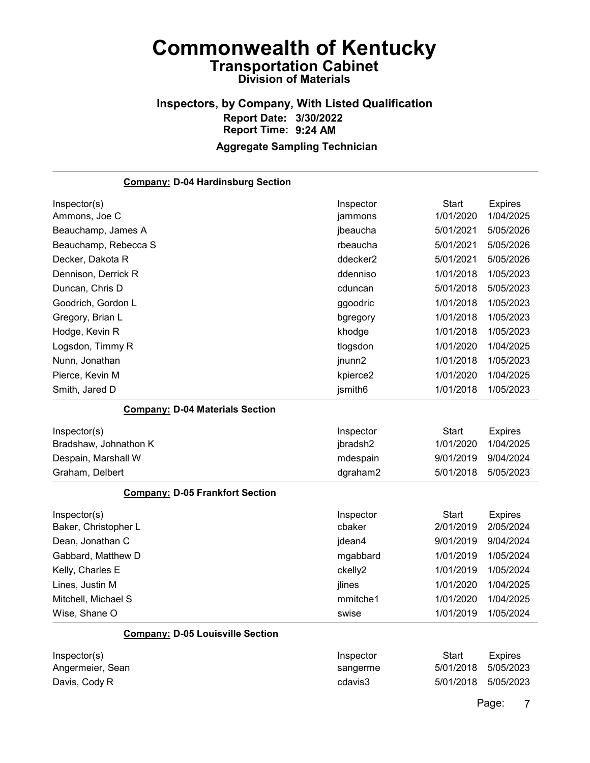## Inspectors, by Company, With Listed Qualification Report Date: 3/30/2022 Report Time: 9:24 AM Aggregate Sampling Technician

| <b>Company: D-04 Hardinsburg Section</b> |           |              |                |
|------------------------------------------|-----------|--------------|----------------|
| Inspector(s)                             | Inspector | <b>Start</b> | <b>Expires</b> |
| Ammons, Joe C                            | jammons   | 1/01/2020    | 1/04/2025      |
| Beauchamp, James A                       | jbeaucha  | 5/01/2021    | 5/05/2026      |
| Beauchamp, Rebecca S                     | rbeaucha  | 5/01/2021    | 5/05/2026      |
| Decker, Dakota R                         | ddecker2  | 5/01/2021    | 5/05/2026      |
| Dennison, Derrick R                      | ddenniso  | 1/01/2018    | 1/05/2023      |
| Duncan, Chris D                          | cduncan   | 5/01/2018    | 5/05/2023      |
| Goodrich, Gordon L                       | ggoodric  | 1/01/2018    | 1/05/2023      |
| Gregory, Brian L                         | bgregory  | 1/01/2018    | 1/05/2023      |
| Hodge, Kevin R                           | khodge    | 1/01/2018    | 1/05/2023      |
| Logsdon, Timmy R                         | tlogsdon  | 1/01/2020    | 1/04/2025      |
| Nunn, Jonathan                           | jnunn2    | 1/01/2018    | 1/05/2023      |
| Pierce, Kevin M                          | kpierce2  | 1/01/2020    | 1/04/2025      |
| Smith, Jared D                           | jsmith6   | 1/01/2018    | 1/05/2023      |
| <b>Company: D-04 Materials Section</b>   |           |              |                |
| Inspector(s)                             | Inspector | <b>Start</b> | <b>Expires</b> |
| Bradshaw, Johnathon K                    | jbradsh2  | 1/01/2020    | 1/04/2025      |
| Despain, Marshall W                      | mdespain  | 9/01/2019    | 9/04/2024      |
| Graham, Delbert                          | dgraham2  | 5/01/2018    | 5/05/2023      |
| <b>Company: D-05 Frankfort Section</b>   |           |              |                |
| Inspector(s)                             | Inspector | <b>Start</b> | <b>Expires</b> |
| Baker, Christopher L                     | cbaker    | 2/01/2019    | 2/05/2024      |
| Dean, Jonathan C                         | jdean4    | 9/01/2019    | 9/04/2024      |
| Gabbard, Matthew D                       | mgabbard  | 1/01/2019    | 1/05/2024      |
| Kelly, Charles E                         | ckelly2   | 1/01/2019    | 1/05/2024      |
| Lines, Justin M                          | jlines    | 1/01/2020    | 1/04/2025      |
| Mitchell, Michael S                      | mmitche1  | 1/01/2020    | 1/04/2025      |
| Wise, Shane O                            | swise     | 1/01/2019    | 1/05/2024      |
| <b>Company: D-05 Louisville Section</b>  |           |              |                |
| Inspector(s)                             | Inspector | <b>Start</b> | <b>Expires</b> |
| Angermeier, Sean                         | sangerme  | 5/01/2018    | 5/05/2023      |
| Davis, Cody R                            | cdavis3   | 5/01/2018    | 5/05/2023      |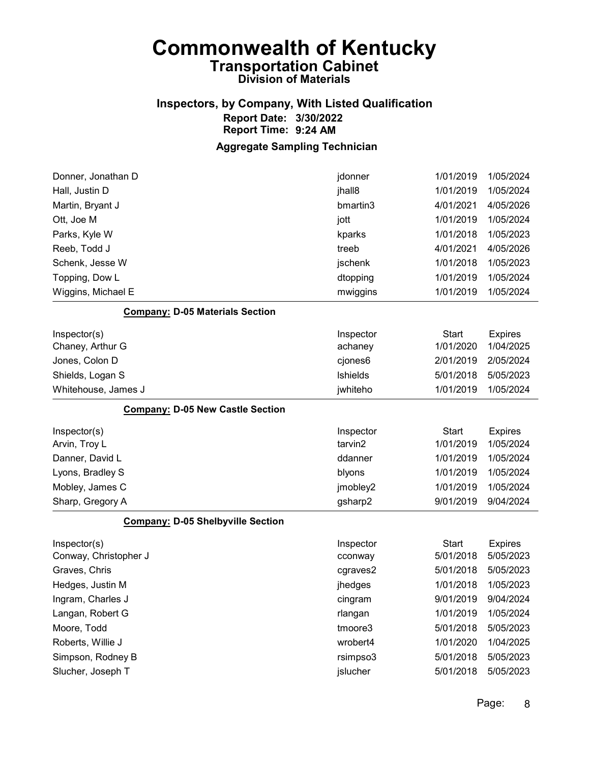## Inspectors, by Company, With Listed Qualification Report Date: 3/30/2022 Report Time: 9:24 AM

| Donner, Jonathan D                       | jdonner   | 1/01/2019    | 1/05/2024      |
|------------------------------------------|-----------|--------------|----------------|
| Hall, Justin D                           | jhall8    | 1/01/2019    | 1/05/2024      |
| Martin, Bryant J                         | bmartin3  | 4/01/2021    | 4/05/2026      |
| Ott, Joe M                               | jott      | 1/01/2019    | 1/05/2024      |
| Parks, Kyle W                            | kparks    | 1/01/2018    | 1/05/2023      |
| Reeb, Todd J                             | treeb     | 4/01/2021    | 4/05/2026      |
| Schenk, Jesse W                          | jschenk   | 1/01/2018    | 1/05/2023      |
| Topping, Dow L                           | dtopping  | 1/01/2019    | 1/05/2024      |
| Wiggins, Michael E                       | mwiggins  | 1/01/2019    | 1/05/2024      |
| <b>Company: D-05 Materials Section</b>   |           |              |                |
| Inspector(s)                             | Inspector | <b>Start</b> | <b>Expires</b> |
| Chaney, Arthur G                         | achaney   | 1/01/2020    | 1/04/2025      |
| Jones, Colon D                           | cjones6   | 2/01/2019    | 2/05/2024      |
| Shields, Logan S                         | Ishields  | 5/01/2018    | 5/05/2023      |
| Whitehouse, James J                      | jwhiteho  | 1/01/2019    | 1/05/2024      |
| <b>Company: D-05 New Castle Section</b>  |           |              |                |
| Inspector(s)                             | Inspector | <b>Start</b> | <b>Expires</b> |
| Arvin, Troy L                            | tarvin2   | 1/01/2019    | 1/05/2024      |
| Danner, David L                          | ddanner   | 1/01/2019    | 1/05/2024      |
| Lyons, Bradley S                         | blyons    | 1/01/2019    | 1/05/2024      |
| Mobley, James C                          | jmobley2  | 1/01/2019    | 1/05/2024      |
| Sharp, Gregory A                         | gsharp2   | 9/01/2019    | 9/04/2024      |
| <b>Company: D-05 Shelbyville Section</b> |           |              |                |
| Inspector(s)                             | Inspector | <b>Start</b> | <b>Expires</b> |
| Conway, Christopher J                    | cconway   | 5/01/2018    | 5/05/2023      |
| Graves, Chris                            | cgraves2  | 5/01/2018    | 5/05/2023      |
| Hedges, Justin M                         | jhedges   | 1/01/2018    | 1/05/2023      |
| Ingram, Charles J                        | cingram   | 9/01/2019    | 9/04/2024      |
| Langan, Robert G                         | rlangan   | 1/01/2019    | 1/05/2024      |
| Moore, Todd                              | tmoore3   | 5/01/2018    | 5/05/2023      |
| Roberts, Willie J                        | wrobert4  | 1/01/2020    | 1/04/2025      |
| Simpson, Rodney B                        | rsimpso3  | 5/01/2018    | 5/05/2023      |
| Slucher, Joseph T                        | jslucher  | 5/01/2018    | 5/05/2023      |
|                                          |           |              |                |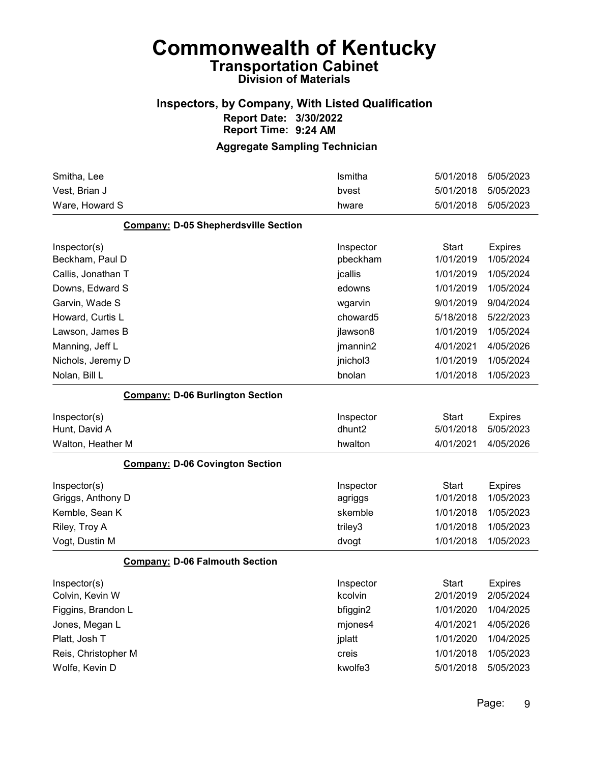## Inspectors, by Company, With Listed Qualification Report Date: 3/30/2022 Report Time: 9:24 AM

| Smitha, Lee                                 | Ismitha   | 5/01/2018    | 5/05/2023      |
|---------------------------------------------|-----------|--------------|----------------|
| Vest, Brian J                               | bvest     | 5/01/2018    | 5/05/2023      |
| Ware, Howard S                              | hware     | 5/01/2018    | 5/05/2023      |
| <b>Company: D-05 Shepherdsville Section</b> |           |              |                |
| Inspector(s)                                | Inspector | <b>Start</b> | <b>Expires</b> |
| Beckham, Paul D                             | pbeckham  | 1/01/2019    | 1/05/2024      |
| Callis, Jonathan T                          | jcallis   | 1/01/2019    | 1/05/2024      |
| Downs, Edward S                             | edowns    | 1/01/2019    | 1/05/2024      |
| Garvin, Wade S                              | wgarvin   | 9/01/2019    | 9/04/2024      |
| Howard, Curtis L                            | choward5  | 5/18/2018    | 5/22/2023      |
| Lawson, James B                             | jlawson8  | 1/01/2019    | 1/05/2024      |
| Manning, Jeff L                             | jmannin2  | 4/01/2021    | 4/05/2026      |
| Nichols, Jeremy D                           | jnichol3  | 1/01/2019    | 1/05/2024      |
| Nolan, Bill L                               | bnolan    | 1/01/2018    | 1/05/2023      |
| <b>Company: D-06 Burlington Section</b>     |           |              |                |
| Inspector(s)                                | Inspector | <b>Start</b> | <b>Expires</b> |
| Hunt, David A                               | dhunt2    | 5/01/2018    | 5/05/2023      |
| Walton, Heather M                           | hwalton   | 4/01/2021    | 4/05/2026      |
| <b>Company: D-06 Covington Section</b>      |           |              |                |
| Inspector(s)                                | Inspector | <b>Start</b> | <b>Expires</b> |
| Griggs, Anthony D                           | agriggs   | 1/01/2018    | 1/05/2023      |
| Kemble, Sean K                              | skemble   | 1/01/2018    | 1/05/2023      |
| Riley, Troy A                               | triley3   | 1/01/2018    | 1/05/2023      |
| Vogt, Dustin M                              | dvogt     | 1/01/2018    | 1/05/2023      |
| <b>Company: D-06 Falmouth Section</b>       |           |              |                |
| Inspector(s)                                | Inspector | <b>Start</b> | <b>Expires</b> |
| Colvin, Kevin W                             | kcolvin   | 2/01/2019    | 2/05/2024      |
| Figgins, Brandon L                          | bfiggin2  | 1/01/2020    | 1/04/2025      |
| Jones, Megan L                              | mjones4   | 4/01/2021    | 4/05/2026      |
| Platt, Josh T                               | jplatt    | 1/01/2020    | 1/04/2025      |
| Reis, Christopher M                         | creis     | 1/01/2018    | 1/05/2023      |
| Wolfe, Kevin D                              | kwolfe3   | 5/01/2018    | 5/05/2023      |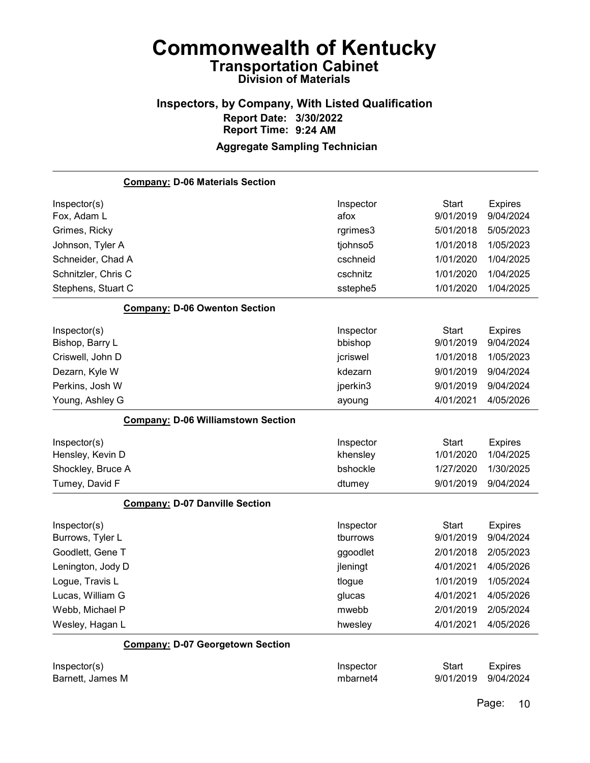### Inspectors, by Company, With Listed Qualification Report Date: 3/30/2022 Report Time: 9:24 AM Aggregate Sampling Technician

# Company: D-06 Materials Section Inspector(s) **Inspector** Start Expires Fox, Adam L afox 9/01/2019 9/04/2024 Grimes, Ricky rgrimes3 5/01/2018 5/05/2023 Johnson, Tyler A tjohnso5 1/01/2018 1/05/2023 Schneider, Chad A cschneid 1/01/2020 1/04/2025 Schnitzler, Chris C cschnitz 1/01/2020 1/04/2025 Stephens, Stuart C sstephe5 1/01/2020 1/04/2025 Company: D-06 Owenton Section Inspector(s) **Inspector** Start Expires Bishop, Barry L bbishop 9/01/2019 9/04/2024 Criswell, John D jcriswel 1/01/2018 1/05/2023 Dezarn, Kyle W kdezarn 9/01/2019 9/04/2024 Perkins, Josh W jperkin3 9/01/2019 9/04/2024 Young, Ashley G ayoung 4/01/2021 4/05/2026 Company: D-06 Williamstown Section Inspector(s) **Inspector** Start Expires Hensley, Kevin D khensley 1/01/2020 1/04/2025 Shockley, Bruce A bshockle 1/27/2020 1/30/2025 Tumey, David F dtumey 8/01/2019 9/04/2024 Company: D-07 Danville Section Inspector(s) **Inspector** Start Expires Burrows, Tyler L tburrows 9/01/2019 9/04/2024 Goodlett, Gene T ggoodlet 2/01/2018 2/05/2023 Lenington, Jody D **implement and Contract Contract Contract Contract Contract Contract Contract A** 4/01/2021 4/05/2026 Logue, Travis L **Logue 1/01/2019 1/05/2024** Lucas, William G glucas 4/01/2021 4/05/2026 Webb, Michael P mwebb 2/01/2019 2/05/2024 Wesley, Hagan L hwesley 4/01/2021 4/05/2026 Company: D-07 Georgetown Section Inspector(s) **Inspector** Start Expires

Barnett, James M mbarnet4 9/01/2019 9/04/2024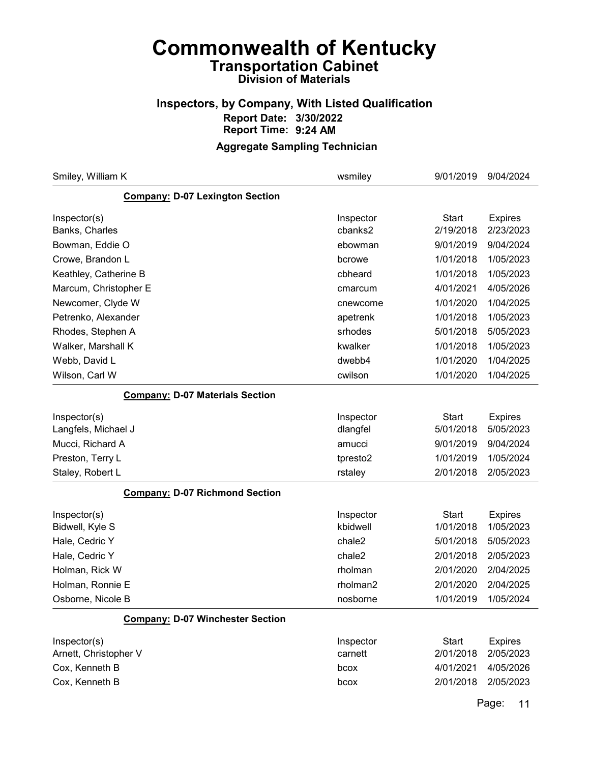## Inspectors, by Company, With Listed Qualification Report Date: 3/30/2022 Report Time: 9:24 AM

### Aggregate Sampling Technician

| Smiley, William K                       | wsmiley   | 9/01/2019    | 9/04/2024      |
|-----------------------------------------|-----------|--------------|----------------|
| <b>Company: D-07 Lexington Section</b>  |           |              |                |
| Inspector(s)                            | Inspector | <b>Start</b> | <b>Expires</b> |
| Banks, Charles                          | cbanks2   | 2/19/2018    | 2/23/2023      |
| Bowman, Eddie O                         | ebowman   | 9/01/2019    | 9/04/2024      |
| Crowe, Brandon L                        | bcrowe    | 1/01/2018    | 1/05/2023      |
| Keathley, Catherine B                   | cbheard   | 1/01/2018    | 1/05/2023      |
| Marcum, Christopher E                   | cmarcum   | 4/01/2021    | 4/05/2026      |
| Newcomer, Clyde W                       | cnewcome  | 1/01/2020    | 1/04/2025      |
| Petrenko, Alexander                     | apetrenk  | 1/01/2018    | 1/05/2023      |
| Rhodes, Stephen A                       | srhodes   | 5/01/2018    | 5/05/2023      |
| Walker, Marshall K                      | kwalker   | 1/01/2018    | 1/05/2023      |
| Webb, David L                           | dwebb4    | 1/01/2020    | 1/04/2025      |
| Wilson, Carl W                          | cwilson   | 1/01/2020    | 1/04/2025      |
| <b>Company: D-07 Materials Section</b>  |           |              |                |
| Inspector(s)                            | Inspector | <b>Start</b> | <b>Expires</b> |
| Langfels, Michael J                     | dlangfel  | 5/01/2018    | 5/05/2023      |
| Mucci, Richard A                        | amucci    | 9/01/2019    | 9/04/2024      |
| Preston, Terry L                        | tpresto2  | 1/01/2019    | 1/05/2024      |
| Staley, Robert L                        | rstaley   | 2/01/2018    | 2/05/2023      |
| <b>Company: D-07 Richmond Section</b>   |           |              |                |
| Inspector(s)                            | Inspector | <b>Start</b> | <b>Expires</b> |
| Bidwell, Kyle S                         | kbidwell  | 1/01/2018    | 1/05/2023      |
| Hale, Cedric Y                          | chale2    | 5/01/2018    | 5/05/2023      |
| Hale, Cedric Y                          | chale2    | 2/01/2018    | 2/05/2023      |
| Holman, Rick W                          | rholman   | 2/01/2020    | 2/04/2025      |
| Holman, Ronnie E                        | rholman2  | 2/01/2020    | 2/04/2025      |
| Osborne, Nicole B                       | nosborne  | 1/01/2019    | 1/05/2024      |
| <b>Company: D-07 Winchester Section</b> |           |              |                |
| Inspector(s)                            | Inspector | <b>Start</b> | <b>Expires</b> |
| Arnett, Christopher V                   | carnett   | 2/01/2018    | 2/05/2023      |
| Cox, Kenneth B                          | bcox      | 4/01/2021    | 4/05/2026      |
| Cox, Kenneth B                          | bcox      | 2/01/2018    | 2/05/2023      |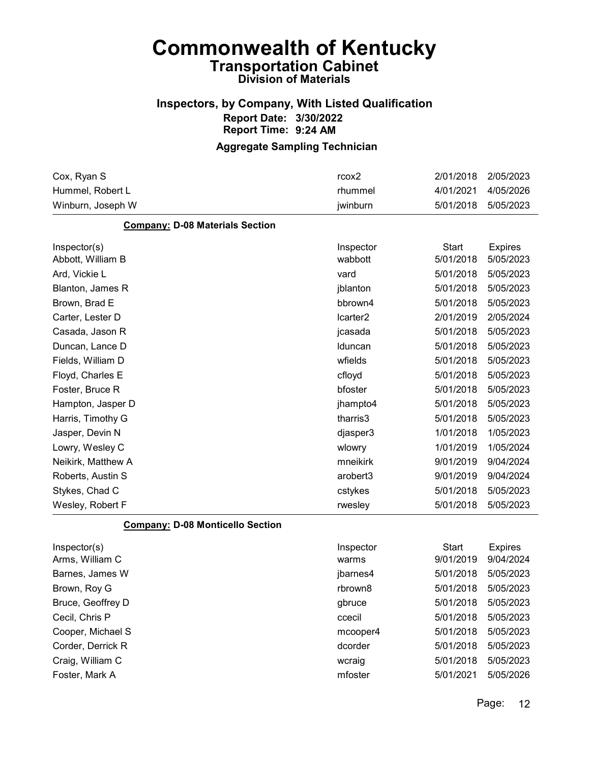## Inspectors, by Company, With Listed Qualification Report Date: 3/30/2022 Report Time: 9:24 AM

### Aggregate Sampling Technician

| Cox, Ryan S                             | rcox2     | 2/01/2018    | 2/05/2023      |
|-----------------------------------------|-----------|--------------|----------------|
| Hummel, Robert L                        | rhummel   | 4/01/2021    | 4/05/2026      |
| Winburn, Joseph W                       | jwinburn  | 5/01/2018    | 5/05/2023      |
| <b>Company: D-08 Materials Section</b>  |           |              |                |
| Inspector(s)                            | Inspector | <b>Start</b> | <b>Expires</b> |
| Abbott, William B                       | wabbott   | 5/01/2018    | 5/05/2023      |
| Ard, Vickie L                           | vard      | 5/01/2018    | 5/05/2023      |
| Blanton, James R                        | jblanton  | 5/01/2018    | 5/05/2023      |
| Brown, Brad E                           | bbrown4   | 5/01/2018    | 5/05/2023      |
| Carter, Lester D                        | Icarter2  | 2/01/2019    | 2/05/2024      |
| Casada, Jason R                         | jcasada   | 5/01/2018    | 5/05/2023      |
| Duncan, Lance D                         | Iduncan   | 5/01/2018    | 5/05/2023      |
| Fields, William D                       | wfields   | 5/01/2018    | 5/05/2023      |
| Floyd, Charles E                        | cfloyd    | 5/01/2018    | 5/05/2023      |
| Foster, Bruce R                         | bfoster   | 5/01/2018    | 5/05/2023      |
| Hampton, Jasper D                       | jhampto4  | 5/01/2018    | 5/05/2023      |
| Harris, Timothy G                       | tharris3  | 5/01/2018    | 5/05/2023      |
| Jasper, Devin N                         | djasper3  | 1/01/2018    | 1/05/2023      |
| Lowry, Wesley C                         | wlowry    | 1/01/2019    | 1/05/2024      |
| Neikirk, Matthew A                      | mneikirk  | 9/01/2019    | 9/04/2024      |
| Roberts, Austin S                       | arobert3  | 9/01/2019    | 9/04/2024      |
| Stykes, Chad C                          | cstykes   | 5/01/2018    | 5/05/2023      |
| Wesley, Robert F                        | rwesley   | 5/01/2018    | 5/05/2023      |
| <b>Company: D-08 Monticello Section</b> |           |              |                |
| Inspector(s)                            | Inspector | <b>Start</b> | <b>Expires</b> |
| Arms, William C                         | warms     | 9/01/2019    | 9/04/2024      |
| Barnes, James W                         | jbarnes4  | 5/01/2018    | 5/05/2023      |
| Brown, Roy G                            | rbrown8   | 5/01/2018    | 5/05/2023      |

Bruce, Geoffrey D **Bruce** 5/01/2018 5/05/2023 Cecil, Chris P ccecil 5/01/2018 5/05/2023 Cooper, Michael S mcooper4 5/01/2018 5/05/2023 Corder, Derrick R dcorder 5/01/2018 5/05/2023

| _______________  |         |                     |  |
|------------------|---------|---------------------|--|
| Craig, William C | wcraig  | 5/01/2018 5/05/2023 |  |
| Foster. Mark A   | mfoster | 5/01/2021 5/05/2026 |  |
|                  |         |                     |  |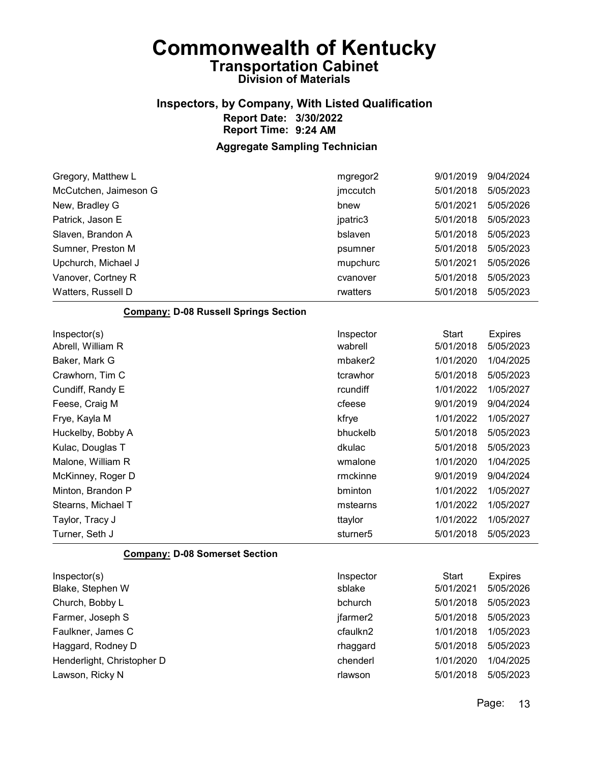## Inspectors, by Company, With Listed Qualification Report Date: 3/30/2022 Report Time: 9:24 AM

### Aggregate Sampling Technician

| mgregor2  | 9/01/2019    | 9/04/2024      |
|-----------|--------------|----------------|
| jmccutch  | 5/01/2018    | 5/05/2023      |
| bnew      | 5/01/2021    | 5/05/2026      |
| jpatric3  | 5/01/2018    | 5/05/2023      |
| bslaven   | 5/01/2018    | 5/05/2023      |
| psumner   | 5/01/2018    | 5/05/2023      |
| mupchurc  | 5/01/2021    | 5/05/2026      |
| cvanover  | 5/01/2018    | 5/05/2023      |
| rwatters  | 5/01/2018    | 5/05/2023      |
|           |              |                |
| Inspector | <b>Start</b> | <b>Expires</b> |
| wabrell   | 5/01/2018    | 5/05/2023      |
| mbaker2   | 1/01/2020    | 1/04/2025      |
| tcrawhor  | 5/01/2018    | 5/05/2023      |
| rcundiff  | 1/01/2022    | 1/05/2027      |
| cfeese    | 9/01/2019    | 9/04/2024      |
| kfrye     | 1/01/2022    | 1/05/2027      |
| bhuckelb  | 5/01/2018    | 5/05/2023      |
| dkulac    | 5/01/2018    | 5/05/2023      |
| wmalone   | 1/01/2020    | 1/04/2025      |
| rmckinne  | 9/01/2019    | 9/04/2024      |
|           |              |                |

| Minton, Brandon P  | bminton  | 1/01/2022           | 1/05/2027 |
|--------------------|----------|---------------------|-----------|
| Stearns, Michael T | mstearns | 1/01/2022           | 1/05/2027 |
| Taylor, Tracy J    | ttavlor  | 1/01/2022           | 1/05/2027 |
| Turner, Seth J     | sturner5 | 5/01/2018 5/05/2023 |           |
|                    |          |                     |           |

#### Company: D-08 Somerset Section

| Inspector(s)               | Inspector | Start     | <b>Expires</b> |
|----------------------------|-----------|-----------|----------------|
| Blake, Stephen W           | sblake    | 5/01/2021 | 5/05/2026      |
| Church, Bobby L            | bchurch   | 5/01/2018 | 5/05/2023      |
| Farmer, Joseph S           | jfarmer2  | 5/01/2018 | 5/05/2023      |
| Faulkner, James C          | cfaulkn2  | 1/01/2018 | 1/05/2023      |
| Haggard, Rodney D          | rhaggard  | 5/01/2018 | 5/05/2023      |
| Henderlight, Christopher D | chenderl  | 1/01/2020 | 1/04/2025      |
| Lawson, Ricky N            | rlawson   | 5/01/2018 | 5/05/2023      |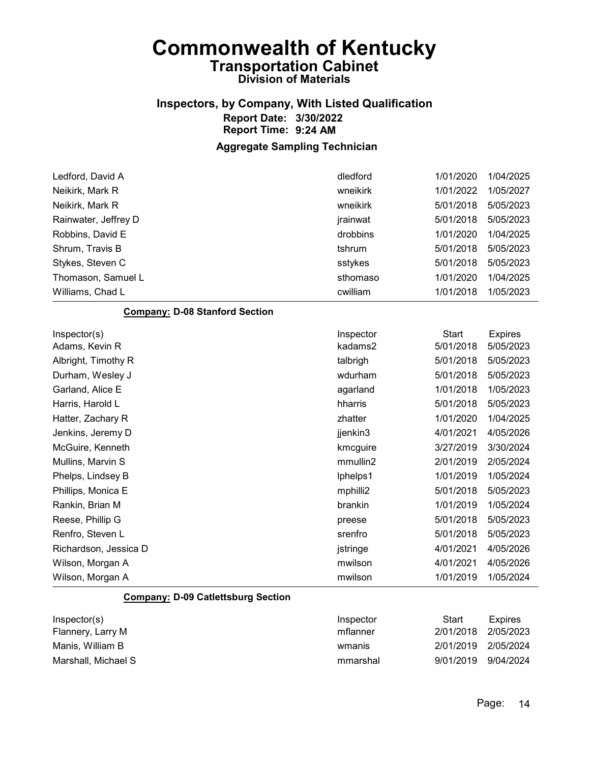## Inspectors, by Company, With Listed Qualification Report Date: 3/30/2022 Report Time: 9:24 AM

### Aggregate Sampling Technician

| Ledford, David A                          | dledford  | 1/01/2020    | 1/04/2025      |
|-------------------------------------------|-----------|--------------|----------------|
| Neikirk, Mark R                           | wneikirk  | 1/01/2022    | 1/05/2027      |
| Neikirk, Mark R                           | wneikirk  | 5/01/2018    | 5/05/2023      |
| Rainwater, Jeffrey D                      | jrainwat  | 5/01/2018    | 5/05/2023      |
| Robbins, David E                          | drobbins  | 1/01/2020    | 1/04/2025      |
| Shrum, Travis B                           | tshrum    | 5/01/2018    | 5/05/2023      |
| Stykes, Steven C                          | sstykes   | 5/01/2018    | 5/05/2023      |
| Thomason, Samuel L                        | sthomaso  | 1/01/2020    | 1/04/2025      |
| Williams, Chad L                          | cwilliam  | 1/01/2018    | 1/05/2023      |
| <b>Company: D-08 Stanford Section</b>     |           |              |                |
| Inspector(s)                              | Inspector | <b>Start</b> | <b>Expires</b> |
| Adams, Kevin R                            | kadams2   | 5/01/2018    | 5/05/2023      |
| Albright, Timothy R                       | talbrigh  | 5/01/2018    | 5/05/2023      |
| Durham, Wesley J                          | wdurham   | 5/01/2018    | 5/05/2023      |
| Garland, Alice E                          | agarland  | 1/01/2018    | 1/05/2023      |
| Harris, Harold L                          | hharris   | 5/01/2018    | 5/05/2023      |
| Hatter, Zachary R                         | zhatter   | 1/01/2020    | 1/04/2025      |
| Jenkins, Jeremy D                         | jjenkin3  | 4/01/2021    | 4/05/2026      |
| McGuire, Kenneth                          | kmcguire  | 3/27/2019    | 3/30/2024      |
| Mullins, Marvin S                         | mmullin2  | 2/01/2019    | 2/05/2024      |
| Phelps, Lindsey B                         | lphelps1  | 1/01/2019    | 1/05/2024      |
| Phillips, Monica E                        | mphilli2  | 5/01/2018    | 5/05/2023      |
| Rankin, Brian M                           | brankin   | 1/01/2019    | 1/05/2024      |
| Reese, Phillip G                          | preese    | 5/01/2018    | 5/05/2023      |
| Renfro, Steven L                          | srenfro   | 5/01/2018    | 5/05/2023      |
| Richardson, Jessica D                     | jstringe  | 4/01/2021    | 4/05/2026      |
| Wilson, Morgan A                          | mwilson   | 4/01/2021    | 4/05/2026      |
| Wilson, Morgan A                          | mwilson   | 1/01/2019    | 1/05/2024      |
| <b>Company: D-09 Catlettsburg Section</b> |           |              |                |
| Inspector(s)                              | Inspector | <b>Start</b> | <b>Expires</b> |
| Flannery, Larry M                         | mflanner  | 2/01/2018    | 2/05/2023      |

Manis, William B wmanis 2/01/2019 2/05/2024 Marshall, Michael S mmarshal 9/01/2019 9/04/2024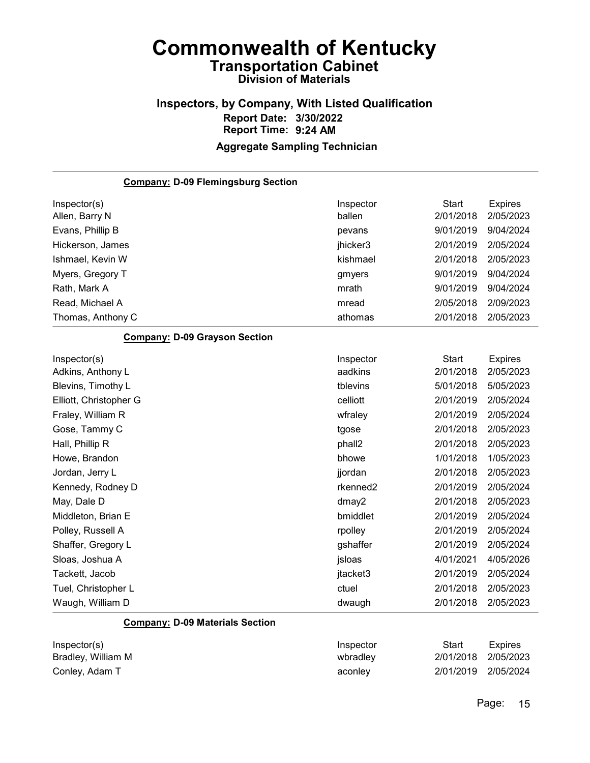### Inspectors, by Company, With Listed Qualification Report Date: 3/30/2022 Report Time: 9:24 AM Aggregate Sampling Technician

Company: D-09 Flemingsburg Section Inspector(s) **Inspector** Start Expires Allen, Barry N ballen 2/01/2018 2/05/2023 Evans, Phillip B pevans 9/01/2019 9/04/2024 Hickerson, James jhicker3 2/01/2019 2/05/2024 Ishmael, Kevin W kishmael 2/01/2018 2/05/2023 Myers, Gregory T and Communication of the state of the gmyers and the 9/01/2019 9/04/2024 Rath, Mark A mrath 9/01/2019 9/04/2024 Read, Michael A mread 2/05/2018 2/09/2023 Thomas, Anthony C athomas 2/01/2018 2/05/2023 Company: D-09 Grayson Section Inspector(s) **Inspector** Start Expires Adkins, Anthony L aadkins 2/01/2018 2/05/2023 Blevins, Timothy L tblevins 5/01/2018 5/05/2023 Elliott, Christopher G celliott 2/01/2019 2/05/2024 Fraley, William R wfraley 2/01/2019 2/05/2024 Gose, Tammy C tgose 2/01/2018 2/05/2023 Hall, Phillip R phall2 2/01/2018 2/05/2023 Howe, Brandon bhowe 1/01/2018 1/05/2023 Jordan, Jerry L jjordan 2/01/2018 2/05/2023 Kennedy, Rodney D **rkenned2** 2/01/2019 2/05/2024 May, Dale D dmay2 2/01/2018 2/05/2023 Middleton, Brian E bmiddlet 2/01/2019 2/05/2024 Polley, Russell A rpolley 2/01/2019 2/05/2024 Shaffer, Gregory L gshaffer 2/01/2019 2/05/2024 Sloas, Joshua A jsloas 4/01/2021 4/05/2026 Tackett, Jacob jtacket3 2/01/2019 2/05/2024 Tuel, Christopher L ctuel 2/01/2018 2/05/2023 Waugh, William D dwaugh 2/01/2018 2/05/2023

#### Company: D-09 Materials Section

| Inspector(s)       | Inspector | Start               | <b>Expires</b> |
|--------------------|-----------|---------------------|----------------|
| Bradley, William M | wbradley  | 2/01/2018 2/05/2023 |                |
| Conley, Adam T     | aconley   | 2/01/2019 2/05/2024 |                |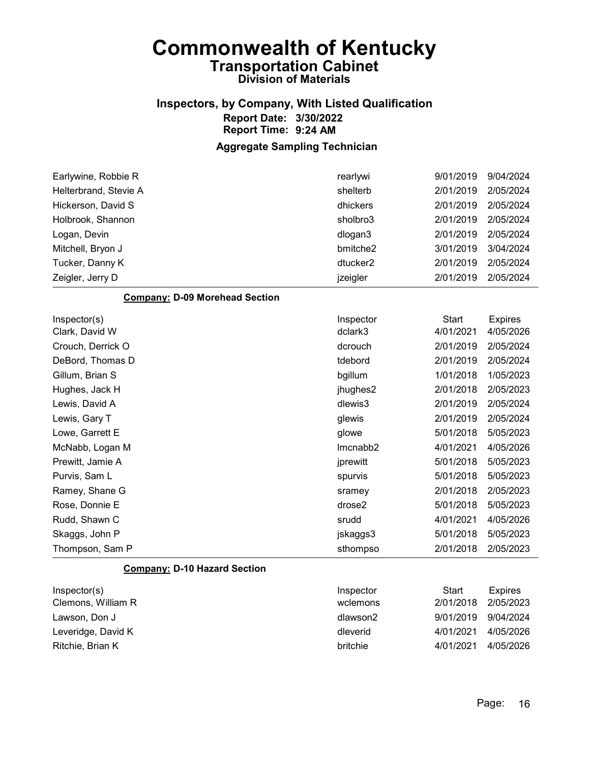## Inspectors, by Company, With Listed Qualification Report Date: 3/30/2022 Report Time: 9:24 AM

#### Aggregate Sampling Technician

| Earlywine, Robbie R   | rearlywi             | 9/01/2019 | 9/04/2024 |
|-----------------------|----------------------|-----------|-----------|
| Helterbrand, Stevie A | shelterb             | 2/01/2019 | 2/05/2024 |
| Hickerson, David S    | dhickers             | 2/01/2019 | 2/05/2024 |
| Holbrook, Shannon     | sholbro3             | 2/01/2019 | 2/05/2024 |
| Logan, Devin          | dlogan3              | 2/01/2019 | 2/05/2024 |
| Mitchell, Bryon J     | bmitche2             | 3/01/2019 | 3/04/2024 |
| Tucker, Danny K       | dtucker <sub>2</sub> | 2/01/2019 | 2/05/2024 |
| Zeigler, Jerry D      | jzeigler             | 2/01/2019 | 2/05/2024 |

#### Company: D-09 Morehead Section

| Inspector(s)      | Inspector | Start     | <b>Expires</b> |
|-------------------|-----------|-----------|----------------|
| Clark, David W    | dclark3   | 4/01/2021 | 4/05/2026      |
| Crouch, Derrick O | dcrouch   | 2/01/2019 | 2/05/2024      |
| DeBord, Thomas D  | tdebord   | 2/01/2019 | 2/05/2024      |
| Gillum, Brian S   | bgillum   | 1/01/2018 | 1/05/2023      |
| Hughes, Jack H    | jhughes2  | 2/01/2018 | 2/05/2023      |
| Lewis, David A    | dlewis3   | 2/01/2019 | 2/05/2024      |
| Lewis, Gary T     | glewis    | 2/01/2019 | 2/05/2024      |
| Lowe, Garrett E   | glowe     | 5/01/2018 | 5/05/2023      |
| McNabb, Logan M   | Imcnabb2  | 4/01/2021 | 4/05/2026      |
| Prewitt, Jamie A  | jprewitt  | 5/01/2018 | 5/05/2023      |
| Purvis, Sam L     | spurvis   | 5/01/2018 | 5/05/2023      |
| Ramey, Shane G    | sramey    | 2/01/2018 | 2/05/2023      |
| Rose, Donnie E    | drose2    | 5/01/2018 | 5/05/2023      |
| Rudd, Shawn C     | srudd     | 4/01/2021 | 4/05/2026      |
| Skaggs, John P    | jskaggs3  | 5/01/2018 | 5/05/2023      |
| Thompson, Sam P   | sthompso  | 2/01/2018 | 2/05/2023      |

#### Company: D-10 Hazard Section

| Inspector(s)<br>Clemons, William R | Inspector<br>wclemons | Start<br>2/01/2018 | Expires<br>2/05/2023 |
|------------------------------------|-----------------------|--------------------|----------------------|
| Lawson. Don J                      | dlawson2              | 9/01/2019          | 9/04/2024            |
| Leveridge, David K                 | dleverid              | 4/01/2021          | 4/05/2026            |
| Ritchie, Brian K                   | britchie              | 4/01/2021          | 4/05/2026            |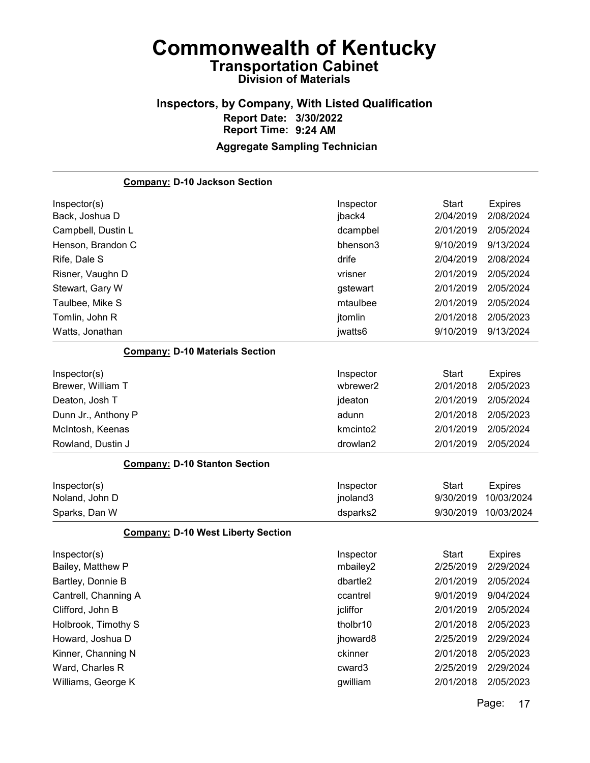## Inspectors, by Company, With Listed Qualification Report Date: 3/30/2022 Report Time: 9:24 AM Aggregate Sampling Technician

| <b>Company: D-10 Jackson Section</b>      |                      |              |                |
|-------------------------------------------|----------------------|--------------|----------------|
| Inspector(s)                              | Inspector            | <b>Start</b> | <b>Expires</b> |
| Back, Joshua D                            | jback4               | 2/04/2019    | 2/08/2024      |
| Campbell, Dustin L                        | dcampbel             | 2/01/2019    | 2/05/2024      |
| Henson, Brandon C                         | bhenson3             | 9/10/2019    | 9/13/2024      |
| Rife, Dale S                              | drife                | 2/04/2019    | 2/08/2024      |
| Risner, Vaughn D                          | vrisner              | 2/01/2019    | 2/05/2024      |
| Stewart, Gary W                           | gstewart             | 2/01/2019    | 2/05/2024      |
| Taulbee, Mike S                           | mtaulbee             | 2/01/2019    | 2/05/2024      |
| Tomlin, John R                            | jtomlin              | 2/01/2018    | 2/05/2023      |
| Watts, Jonathan                           | jwatts6              | 9/10/2019    | 9/13/2024      |
| <b>Company: D-10 Materials Section</b>    |                      |              |                |
| Inspector(s)                              | Inspector            | <b>Start</b> | <b>Expires</b> |
| Brewer, William T                         | wbrewer2             | 2/01/2018    | 2/05/2023      |
| Deaton, Josh T                            | jdeaton              | 2/01/2019    | 2/05/2024      |
| Dunn Jr., Anthony P                       | adunn                | 2/01/2018    | 2/05/2023      |
| McIntosh, Keenas                          | kmcinto <sub>2</sub> | 2/01/2019    | 2/05/2024      |
| Rowland, Dustin J                         | drowlan2             | 2/01/2019    | 2/05/2024      |
| <b>Company: D-10 Stanton Section</b>      |                      |              |                |
| Inspector(s)                              | Inspector            | <b>Start</b> | <b>Expires</b> |
| Noland, John D                            | jnoland3             | 9/30/2019    | 10/03/2024     |
| Sparks, Dan W                             | dsparks2             | 9/30/2019    | 10/03/2024     |
| <b>Company: D-10 West Liberty Section</b> |                      |              |                |
| Inspector(s)                              | Inspector            | <b>Start</b> | <b>Expires</b> |
| Bailey, Matthew P                         | mbailey2             | 2/25/2019    | 2/29/2024      |
| Bartley, Donnie B                         | dbartle2             | 2/01/2019    | 2/05/2024      |
| Cantrell, Channing A                      | ccantrel             | 9/01/2019    | 9/04/2024      |
| Clifford, John B                          | jcliffor             | 2/01/2019    | 2/05/2024      |
| Holbrook, Timothy S                       | tholbr10             | 2/01/2018    | 2/05/2023      |
| Howard, Joshua D                          | jhoward8             | 2/25/2019    | 2/29/2024      |
| Kinner, Channing N                        | ckinner              | 2/01/2018    | 2/05/2023      |
| Ward, Charles R                           | cward3               | 2/25/2019    | 2/29/2024      |
| Williams, George K                        | gwilliam             | 2/01/2018    | 2/05/2023      |
|                                           |                      |              |                |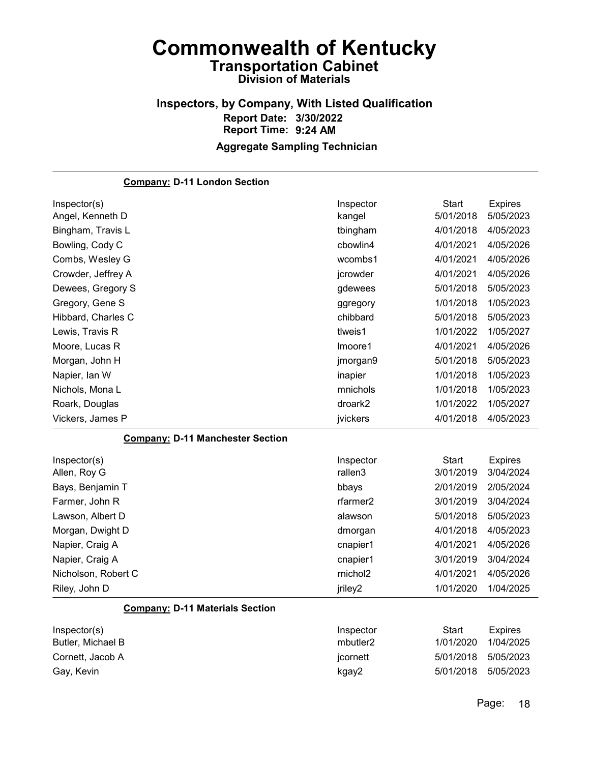## Inspectors, by Company, With Listed Qualification Report Date: 3/30/2022 Report Time: 9:24 AM Aggregate Sampling Technician

| <b>Company: D-11 London Section</b>     |           |              |                |
|-----------------------------------------|-----------|--------------|----------------|
| Inspector(s)                            | Inspector | <b>Start</b> | <b>Expires</b> |
| Angel, Kenneth D                        | kangel    | 5/01/2018    | 5/05/2023      |
| Bingham, Travis L                       | tbingham  | 4/01/2018    | 4/05/2023      |
| Bowling, Cody C                         | cbowlin4  | 4/01/2021    | 4/05/2026      |
| Combs, Wesley G                         | wcombs1   | 4/01/2021    | 4/05/2026      |
| Crowder, Jeffrey A                      | jcrowder  | 4/01/2021    | 4/05/2026      |
| Dewees, Gregory S                       | gdewees   | 5/01/2018    | 5/05/2023      |
| Gregory, Gene S                         | ggregory  | 1/01/2018    | 1/05/2023      |
| Hibbard, Charles C                      | chibbard  | 5/01/2018    | 5/05/2023      |
| Lewis, Travis R                         | tlweis1   | 1/01/2022    | 1/05/2027      |
| Moore, Lucas R                          | Imoore1   | 4/01/2021    | 4/05/2026      |
| Morgan, John H                          | jmorgan9  | 5/01/2018    | 5/05/2023      |
| Napier, Ian W                           | inapier   | 1/01/2018    | 1/05/2023      |
| Nichols, Mona L                         | mnichols  | 1/01/2018    | 1/05/2023      |
| Roark, Douglas                          | droark2   | 1/01/2022    | 1/05/2027      |
| Vickers, James P                        | jvickers  | 4/01/2018    | 4/05/2023      |
| <b>Company: D-11 Manchester Section</b> |           |              |                |
| Inspector(s)                            | Inspector | <b>Start</b> | <b>Expires</b> |
| Allen, Roy G                            | rallen3   | 3/01/2019    | 3/04/2024      |
| Bays, Benjamin T                        | bbays     | 2/01/2019    | 2/05/2024      |
| Farmer, John R                          | rfarmer2  | 3/01/2019    | 3/04/2024      |
| Lawson, Albert D                        | alawson   | 5/01/2018    | 5/05/2023      |
| Morgan, Dwight D                        | dmorgan   | 4/01/2018    | 4/05/2023      |
| Napier, Craig A                         | cnapier1  | 4/01/2021    | 4/05/2026      |
| Napier, Craig A                         | cnapier1  | 3/01/2019    | 3/04/2024      |
| Nicholson, Robert C                     | rnichol2  | 4/01/2021    | 4/05/2026      |
| Riley, John D                           | jriley2   | 1/01/2020    | 1/04/2025      |
| <b>Company: D-11 Materials Section</b>  |           |              |                |
| Inspector(s)                            | Inspector | <b>Start</b> | <b>Expires</b> |
| Butler, Michael B                       | mbutler2  | 1/01/2020    | 1/04/2025      |
| Cornett, Jacob A                        | jcornett  | 5/01/2018    | 5/05/2023      |
| Gay, Kevin                              | kgay2     | 5/01/2018    | 5/05/2023      |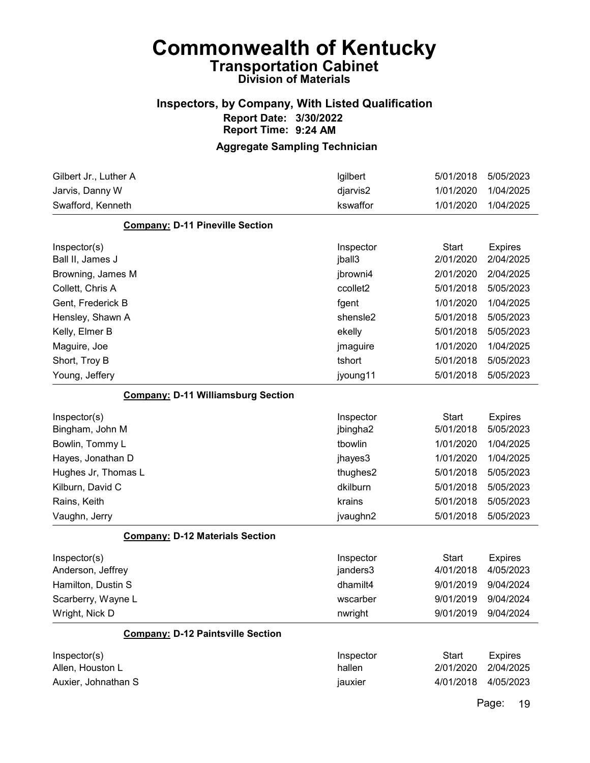## Inspectors, by Company, With Listed Qualification Report Date: 3/30/2022 Report Time: 9:24 AM

### Aggregate Sampling Technician

| Gilbert Jr., Luther A                     | Igilbert  | 5/01/2018    | 5/05/2023      |
|-------------------------------------------|-----------|--------------|----------------|
| Jarvis, Danny W                           | djarvis2  | 1/01/2020    | 1/04/2025      |
| Swafford, Kenneth                         | kswaffor  | 1/01/2020    | 1/04/2025      |
| <b>Company: D-11 Pineville Section</b>    |           |              |                |
| Inspector(s)                              | Inspector | <b>Start</b> | <b>Expires</b> |
| Ball II, James J                          | jball3    | 2/01/2020    | 2/04/2025      |
| Browning, James M                         | jbrowni4  | 2/01/2020    | 2/04/2025      |
| Collett, Chris A                          | ccollet2  | 5/01/2018    | 5/05/2023      |
| Gent, Frederick B                         | fgent     | 1/01/2020    | 1/04/2025      |
| Hensley, Shawn A                          | shensle2  | 5/01/2018    | 5/05/2023      |
| Kelly, Elmer B                            | ekelly    | 5/01/2018    | 5/05/2023      |
| Maguire, Joe                              | jmaguire  | 1/01/2020    | 1/04/2025      |
| Short, Troy B                             | tshort    | 5/01/2018    | 5/05/2023      |
| Young, Jeffery                            | jyoung11  | 5/01/2018    | 5/05/2023      |
| <b>Company: D-11 Williamsburg Section</b> |           |              |                |
| Inspector(s)                              | Inspector | <b>Start</b> | <b>Expires</b> |
| Bingham, John M                           | jbingha2  | 5/01/2018    | 5/05/2023      |
| Bowlin, Tommy L                           | tbowlin   | 1/01/2020    | 1/04/2025      |
| Hayes, Jonathan D                         | jhayes3   | 1/01/2020    | 1/04/2025      |
| Hughes Jr, Thomas L                       | thughes2  | 5/01/2018    | 5/05/2023      |
| Kilburn, David C                          | dkilburn  | 5/01/2018    | 5/05/2023      |
| Rains, Keith                              | krains    | 5/01/2018    | 5/05/2023      |
| Vaughn, Jerry                             | jvaughn2  | 5/01/2018    | 5/05/2023      |
| <b>Company: D-12 Materials Section</b>    |           |              |                |
| Inspector(s)                              | Inspector | <b>Start</b> | <b>Expires</b> |
| Anderson, Jeffrey                         | janders3  | 4/01/2018    | 4/05/2023      |
| Hamilton, Dustin S                        | dhamilt4  | 9/01/2019    | 9/04/2024      |
| Scarberry, Wayne L                        | wscarber  | 9/01/2019    | 9/04/2024      |
| Wright, Nick D                            | nwright   | 9/01/2019    | 9/04/2024      |
| <b>Company: D-12 Paintsville Section</b>  |           |              |                |
| Inspector(s)                              | Inspector | <b>Start</b> | <b>Expires</b> |
| Allen, Houston L                          | hallen    | 2/01/2020    | 2/04/2025      |
| Auxier, Johnathan S                       | jauxier   | 4/01/2018    | 4/05/2023      |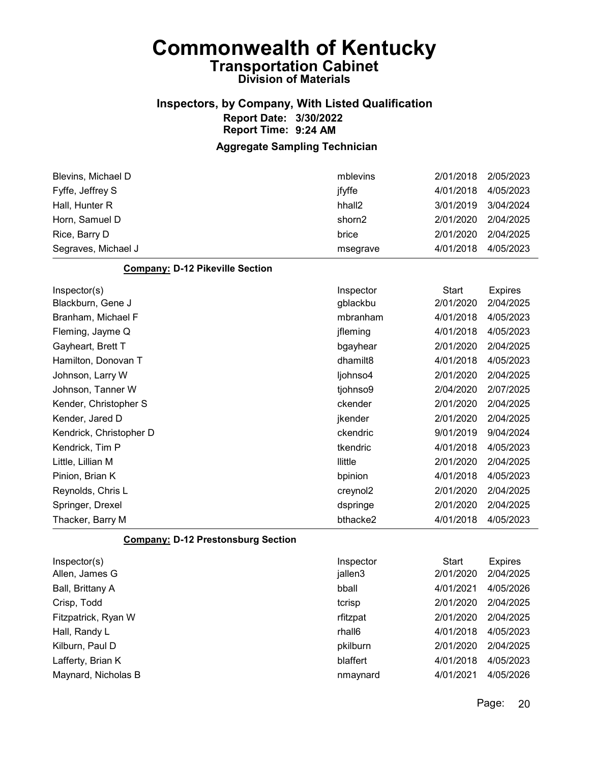## Inspectors, by Company, With Listed Qualification Report Date: 3/30/2022 Report Time: 9:24 AM

### Aggregate Sampling Technician

| Blevins, Michael D                     | mblevins             | 2/01/2018    | 2/05/2023      |
|----------------------------------------|----------------------|--------------|----------------|
| Fyffe, Jeffrey S                       | jfyffe               | 4/01/2018    | 4/05/2023      |
| Hall, Hunter R                         | hhall <sub>2</sub>   | 3/01/2019    | 3/04/2024      |
| Horn, Samuel D                         | shorn2               | 2/01/2020    | 2/04/2025      |
| Rice, Barry D                          | brice                | 2/01/2020    | 2/04/2025      |
| Segraves, Michael J                    | msegrave             | 4/01/2018    | 4/05/2023      |
| <b>Company: D-12 Pikeville Section</b> |                      |              |                |
| Inspector(s)                           | Inspector            | <b>Start</b> | <b>Expires</b> |
| Blackburn, Gene J                      | gblackbu             | 2/01/2020    | 2/04/2025      |
| Branham, Michael F                     | mbranham             | 4/01/2018    | 4/05/2023      |
| Fleming, Jayme Q                       | jfleming             | 4/01/2018    | 4/05/2023      |
| Gayheart, Brett T                      | bgayhear             | 2/01/2020    | 2/04/2025      |
| Hamilton, Donovan T                    | dhamilt <sub>8</sub> | 4/01/2018    | 4/05/2023      |
| Johnson, Larry W                       | ljohnso4             | 2/01/2020    | 2/04/2025      |
| Johnson, Tanner W                      | tjohnso9             | 2/04/2020    | 2/07/2025      |
| Kender, Christopher S                  | ckender              | 2/01/2020    | 2/04/2025      |
| Kender, Jared D                        | jkender              | 2/01/2020    | 2/04/2025      |
| Kendrick, Christopher D                | ckendric             | 9/01/2019    | 9/04/2024      |
| Kendrick, Tim P                        | tkendric             | 4/01/2018    | 4/05/2023      |
| Little, Lillian M                      | llittle              | 2/01/2020    | 2/04/2025      |
| Pinion, Brian K                        | bpinion              | 4/01/2018    | 4/05/2023      |
| Reynolds, Chris L                      | creynol2             | 2/01/2020    | 2/04/2025      |
| Springer, Drexel                       | dspringe             | 2/01/2020    | 2/04/2025      |
| Thacker, Barry M                       | bthacke2             | 4/01/2018    | 4/05/2023      |
| Componis D 42 Dreatenghing Cootion     |                      |              |                |

#### Company: D-12 Prestonsburg Section

| Inspector(s)        | Inspector | Start     | <b>Expires</b> |
|---------------------|-----------|-----------|----------------|
| Allen, James G      | jallen3   | 2/01/2020 | 2/04/2025      |
| Ball, Brittany A    | bball     | 4/01/2021 | 4/05/2026      |
| Crisp, Todd         | tcrisp    | 2/01/2020 | 2/04/2025      |
| Fitzpatrick, Ryan W | rfitzpat  | 2/01/2020 | 2/04/2025      |
| Hall, Randy L       | rhall6    | 4/01/2018 | 4/05/2023      |
| Kilburn, Paul D     | pkilburn  | 2/01/2020 | 2/04/2025      |
| Lafferty, Brian K   | blaffert  | 4/01/2018 | 4/05/2023      |
| Maynard, Nicholas B | nmaynard  | 4/01/2021 | 4/05/2026      |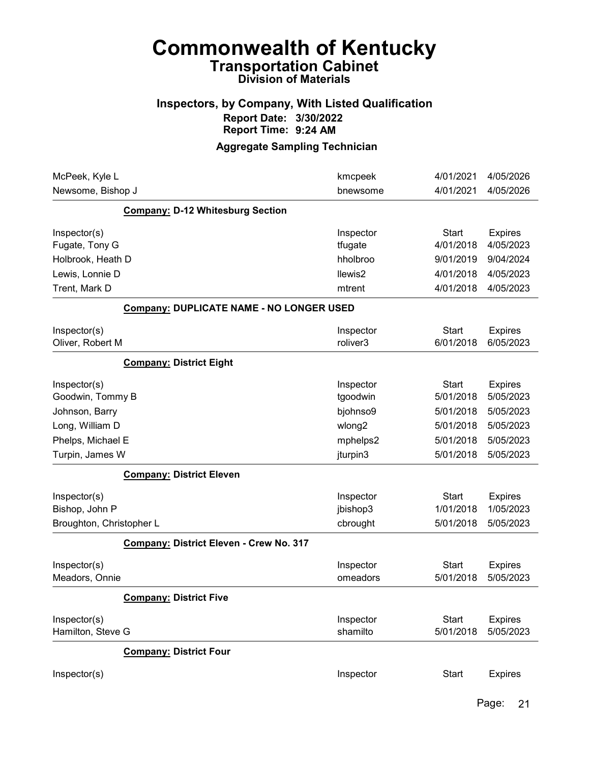## Inspectors, by Company, With Listed Qualification Report Date: 3/30/2022 Report Time: 9:24 AM

| McPeek, Kyle L           |                                          | kmcpeek            | 4/01/2021    | 4/05/2026      |
|--------------------------|------------------------------------------|--------------------|--------------|----------------|
| Newsome, Bishop J        |                                          | bnewsome           | 4/01/2021    | 4/05/2026      |
|                          | <b>Company: D-12 Whitesburg Section</b>  |                    |              |                |
| Inspector(s)             |                                          | Inspector          | <b>Start</b> | <b>Expires</b> |
| Fugate, Tony G           |                                          | tfugate            | 4/01/2018    | 4/05/2023      |
| Holbrook, Heath D        |                                          | hholbroo           | 9/01/2019    | 9/04/2024      |
| Lewis, Lonnie D          |                                          | llewis2            | 4/01/2018    | 4/05/2023      |
| Trent, Mark D            |                                          | mtrent             | 4/01/2018    | 4/05/2023      |
|                          | Company: DUPLICATE NAME - NO LONGER USED |                    |              |                |
| Inspector(s)             |                                          | Inspector          | <b>Start</b> | <b>Expires</b> |
| Oliver, Robert M         |                                          | roliver3           | 6/01/2018    | 6/05/2023      |
|                          | <b>Company: District Eight</b>           |                    |              |                |
| Inspector(s)             |                                          | Inspector          | <b>Start</b> | <b>Expires</b> |
| Goodwin, Tommy B         |                                          | tgoodwin           | 5/01/2018    | 5/05/2023      |
| Johnson, Barry           |                                          | bjohnso9           | 5/01/2018    | 5/05/2023      |
| Long, William D          |                                          | wlong <sub>2</sub> | 5/01/2018    | 5/05/2023      |
| Phelps, Michael E        |                                          | mphelps2           | 5/01/2018    | 5/05/2023      |
| Turpin, James W          |                                          | jturpin3           | 5/01/2018    | 5/05/2023      |
|                          | <b>Company: District Eleven</b>          |                    |              |                |
| Inspector(s)             |                                          | Inspector          | <b>Start</b> | <b>Expires</b> |
| Bishop, John P           |                                          | jbishop3           | 1/01/2018    | 1/05/2023      |
| Broughton, Christopher L |                                          | cbrought           | 5/01/2018    | 5/05/2023      |
|                          | Company: District Eleven - Crew No. 317  |                    |              |                |
| Inspector(s)             |                                          | Inspector          | <b>Start</b> | <b>Expires</b> |
| Meadors, Onnie           |                                          | omeadors           | 5/01/2018    | 5/05/2023      |
|                          | <b>Company: District Five</b>            |                    |              |                |
| Inspector(s)             |                                          | Inspector          | <b>Start</b> | <b>Expires</b> |
| Hamilton, Steve G        |                                          | shamilto           | 5/01/2018    | 5/05/2023      |
|                          | <b>Company: District Four</b>            |                    |              |                |
| Inspector(s)             |                                          | Inspector          | <b>Start</b> | <b>Expires</b> |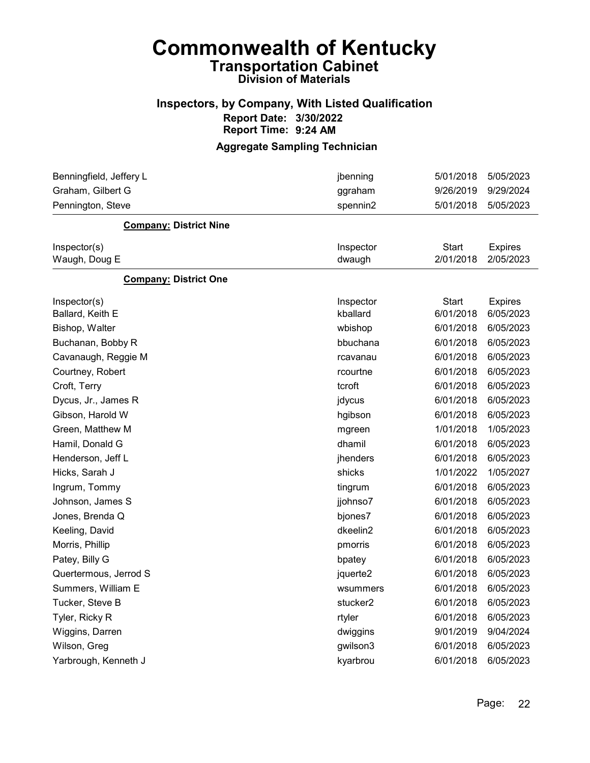## Inspectors, by Company, With Listed Qualification Report Date: 3/30/2022 Report Time: 9:24 AM

| Benningfield, Jeffery L       | jbenning             | 5/01/2018 | 5/05/2023      |
|-------------------------------|----------------------|-----------|----------------|
| Graham, Gilbert G             | ggraham              | 9/26/2019 | 9/29/2024      |
| Pennington, Steve             | spennin2             | 5/01/2018 | 5/05/2023      |
| <b>Company: District Nine</b> |                      |           |                |
| Inspector(s)                  | Inspector            | Start     | <b>Expires</b> |
| Waugh, Doug E                 | dwaugh               | 2/01/2018 | 2/05/2023      |
| <b>Company: District One</b>  |                      |           |                |
| Inspector(s)                  | Inspector            | Start     | <b>Expires</b> |
| Ballard, Keith E              | kballard             | 6/01/2018 | 6/05/2023      |
| Bishop, Walter                | wbishop              | 6/01/2018 | 6/05/2023      |
| Buchanan, Bobby R             | bbuchana             | 6/01/2018 | 6/05/2023      |
| Cavanaugh, Reggie M           | rcavanau             | 6/01/2018 | 6/05/2023      |
| Courtney, Robert              | rcourtne             | 6/01/2018 | 6/05/2023      |
| Croft, Terry                  | tcroft               | 6/01/2018 | 6/05/2023      |
| Dycus, Jr., James R           | jdycus               | 6/01/2018 | 6/05/2023      |
| Gibson, Harold W              | hgibson              | 6/01/2018 | 6/05/2023      |
| Green, Matthew M              | mgreen               | 1/01/2018 | 1/05/2023      |
| Hamil, Donald G               | dhamil               | 6/01/2018 | 6/05/2023      |
| Henderson, Jeff L             | jhenders             | 6/01/2018 | 6/05/2023      |
| Hicks, Sarah J                | shicks               | 1/01/2022 | 1/05/2027      |
| Ingrum, Tommy                 | tingrum              | 6/01/2018 | 6/05/2023      |
| Johnson, James S              | jjohnso7             | 6/01/2018 | 6/05/2023      |
| Jones, Brenda Q               | bjones7              | 6/01/2018 | 6/05/2023      |
| Keeling, David                | dkeelin2             | 6/01/2018 | 6/05/2023      |
| Morris, Phillip               | pmorris              | 6/01/2018 | 6/05/2023      |
| Patey, Billy G                | bpatey               | 6/01/2018 | 6/05/2023      |
| Quertermous, Jerrod S         | jquerte2             | 6/01/2018 | 6/05/2023      |
| Summers, William E            | wsummers             | 6/01/2018 | 6/05/2023      |
| Tucker, Steve B               | stucker <sub>2</sub> | 6/01/2018 | 6/05/2023      |
| Tyler, Ricky R                | rtyler               | 6/01/2018 | 6/05/2023      |
| Wiggins, Darren               | dwiggins             | 9/01/2019 | 9/04/2024      |
| Wilson, Greg                  | gwilson3             | 6/01/2018 | 6/05/2023      |
| Yarbrough, Kenneth J          | kyarbrou             | 6/01/2018 | 6/05/2023      |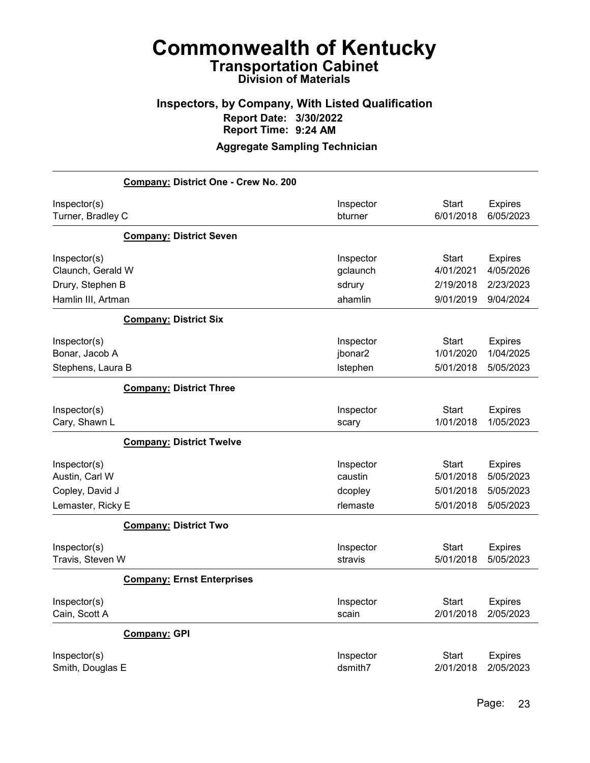## Inspectors, by Company, With Listed Qualification Report Date: 3/30/2022 Report Time: 9:24 AM

|                    | Company: District One - Crew No. 200 |           |              |                |
|--------------------|--------------------------------------|-----------|--------------|----------------|
| Inspector(s)       |                                      | Inspector | <b>Start</b> | <b>Expires</b> |
| Turner, Bradley C  |                                      | bturner   | 6/01/2018    | 6/05/2023      |
|                    | <b>Company: District Seven</b>       |           |              |                |
| Inspector(s)       |                                      | Inspector | <b>Start</b> | <b>Expires</b> |
| Claunch, Gerald W  |                                      | gclaunch  | 4/01/2021    | 4/05/2026      |
| Drury, Stephen B   |                                      | sdrury    | 2/19/2018    | 2/23/2023      |
| Hamlin III, Artman |                                      | ahamlin   | 9/01/2019    | 9/04/2024      |
|                    | <b>Company: District Six</b>         |           |              |                |
| Inspector(s)       |                                      | Inspector | <b>Start</b> | <b>Expires</b> |
| Bonar, Jacob A     |                                      | jbonar2   | 1/01/2020    | 1/04/2025      |
| Stephens, Laura B  |                                      | Istephen  | 5/01/2018    | 5/05/2023      |
|                    | <b>Company: District Three</b>       |           |              |                |
| Inspector(s)       |                                      | Inspector | <b>Start</b> | <b>Expires</b> |
| Cary, Shawn L      |                                      | scary     | 1/01/2018    | 1/05/2023      |
|                    | <b>Company: District Twelve</b>      |           |              |                |
| Inspector(s)       |                                      | Inspector | <b>Start</b> | <b>Expires</b> |
| Austin, Carl W     |                                      | caustin   | 5/01/2018    | 5/05/2023      |
| Copley, David J    |                                      | dcopley   | 5/01/2018    | 5/05/2023      |
| Lemaster, Ricky E  |                                      | rlemaste  | 5/01/2018    | 5/05/2023      |
|                    | <b>Company: District Two</b>         |           |              |                |
| Inspector(s)       |                                      | Inspector | <b>Start</b> | <b>Expires</b> |
| Travis, Steven W   |                                      | stravis   | 5/01/2018    | 5/05/2023      |
|                    | <b>Company: Ernst Enterprises</b>    |           |              |                |
| Inspector(s)       |                                      | Inspector | <b>Start</b> | <b>Expires</b> |
| Cain, Scott A      |                                      | scain     | 2/01/2018    | 2/05/2023      |
|                    | <b>Company: GPI</b>                  |           |              |                |
| Inspector(s)       |                                      | Inspector | <b>Start</b> | <b>Expires</b> |
| Smith, Douglas E   |                                      | dsmith7   | 2/01/2018    | 2/05/2023      |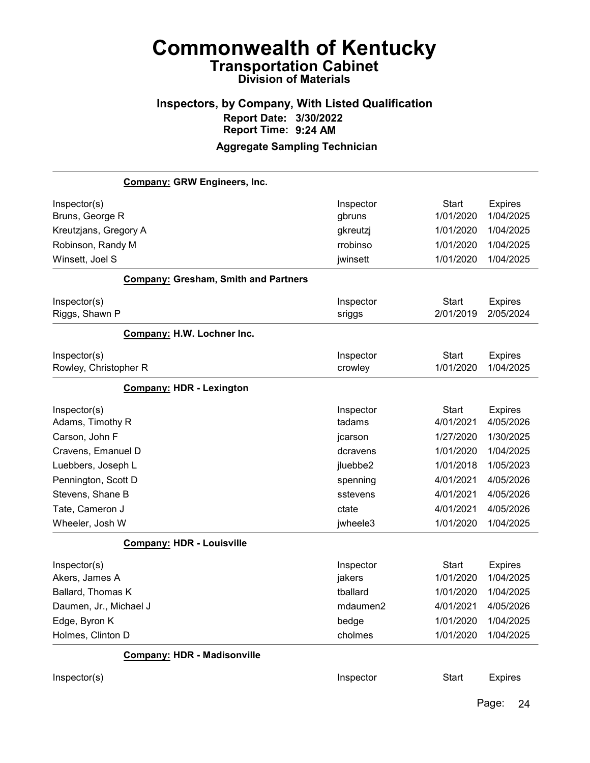### Inspectors, by Company, With Listed Qualification Report Date: 3/30/2022 Report Time: 9:24 AM Aggregate Sampling Technician

Company: GRW Engineers, Inc. Inspector(s) **Inspector** Start Expires Bruns, George R gbruns 1/01/2020 1/04/2025 Kreutzjans, Gregory A and the state of the state of the state of the state of the state of the state of the state of the state of the state of the state of the state of the state of the state of the state of the state of t Robinson, Randy M rrobinso 1/01/2020 1/04/2025 Winsett, Joel S jwinsett 1/01/2020 1/04/2025 Company: Gresham, Smith and Partners Inspector(s) **Inspector** Start Expires Riggs, Shawn P sriggs 2/01/2019 2/05/2024 Company: H.W. Lochner Inc. Inspector(s) **Inspector** Start Expires Rowley, Christopher R crowley 1/01/2020 1/04/2025 Company: HDR - Lexington Inspector(s) **Inspector** Start Expires Adams, Timothy R tadams 4/01/2021 4/05/2026 Carson, John F jcarson 1/27/2020 1/30/2025 Cravens, Emanuel D dcravens 1/01/2020 1/04/2025 Luebbers, Joseph L jluebbe2 1/01/2018 1/05/2023 Pennington, Scott D spenning 4/01/2021 4/05/2026 Stevens, Shane B sstevens 4/01/2021 4/05/2026 Tate, Cameron J ctate 4/01/2021 4/05/2026 Wheeler, Josh W jwheele3 1/01/2020 1/04/2025 Company: HDR - Louisville Inspector(s) **Inspector** Start Expires Akers, James A jakers 1/01/2020 1/04/2025 Ballard, Thomas K tballard 1/01/2020 1/04/2025 Daumen, Jr., Michael J mdaumen2 4/01/2021 4/05/2026 Edge, Byron K bedge 1/01/2020 1/04/2025 Holmes, Clinton D cholmes 1/01/2020 1/04/2025 Company: HDR - Madisonville Inspector(s) **Inspector** Start Expires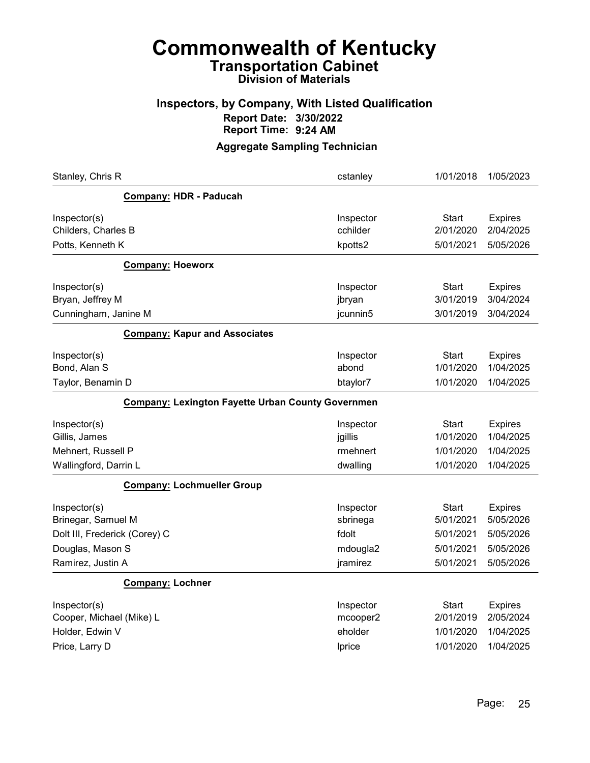## Inspectors, by Company, With Listed Qualification Report Date: 3/30/2022 Report Time: 9:24 AM

| Stanley, Chris R                                                                                             | cstanley                                               | 1/01/2018                                                        | 1/05/2023                                                          |
|--------------------------------------------------------------------------------------------------------------|--------------------------------------------------------|------------------------------------------------------------------|--------------------------------------------------------------------|
| <b>Company: HDR - Paducah</b>                                                                                |                                                        |                                                                  |                                                                    |
| Inspector(s)<br>Childers, Charles B<br>Potts, Kenneth K                                                      | Inspector<br>cchilder<br>kpotts2                       | Start<br>2/01/2020<br>5/01/2021                                  | <b>Expires</b><br>2/04/2025<br>5/05/2026                           |
| <b>Company: Hoeworx</b>                                                                                      |                                                        |                                                                  |                                                                    |
| Inspector(s)<br>Bryan, Jeffrey M<br>Cunningham, Janine M                                                     | Inspector<br>jbryan<br>jcunnin5                        | <b>Start</b><br>3/01/2019<br>3/01/2019                           | <b>Expires</b><br>3/04/2024<br>3/04/2024                           |
| <b>Company: Kapur and Associates</b>                                                                         |                                                        |                                                                  |                                                                    |
| Inspector(s)<br>Bond, Alan S<br>Taylor, Benamin D                                                            | Inspector<br>abond<br>btaylor7                         | Start<br>1/01/2020<br>1/01/2020                                  | <b>Expires</b><br>1/04/2025<br>1/04/2025                           |
| <b>Company: Lexington Fayette Urban County Governmen</b>                                                     |                                                        |                                                                  |                                                                    |
| Inspector(s)<br>Gillis, James<br>Mehnert, Russell P<br>Wallingford, Darrin L                                 | Inspector<br>jgillis<br>rmehnert<br>dwalling           | Start<br>1/01/2020<br>1/01/2020<br>1/01/2020                     | <b>Expires</b><br>1/04/2025<br>1/04/2025<br>1/04/2025              |
| <b>Company: Lochmueller Group</b>                                                                            |                                                        |                                                                  |                                                                    |
| Inspector(s)<br>Brinegar, Samuel M<br>Dolt III, Frederick (Corey) C<br>Douglas, Mason S<br>Ramirez, Justin A | Inspector<br>sbrinega<br>fdolt<br>mdougla2<br>jramirez | <b>Start</b><br>5/01/2021<br>5/01/2021<br>5/01/2021<br>5/01/2021 | <b>Expires</b><br>5/05/2026<br>5/05/2026<br>5/05/2026<br>5/05/2026 |
| <b>Company: Lochner</b>                                                                                      |                                                        |                                                                  |                                                                    |
| Inspector(s)<br>Cooper, Michael (Mike) L<br>Holder, Edwin V<br>Price, Larry D                                | Inspector<br>mcooper2<br>eholder<br>Iprice             | <b>Start</b><br>2/01/2019<br>1/01/2020<br>1/01/2020              | <b>Expires</b><br>2/05/2024<br>1/04/2025<br>1/04/2025              |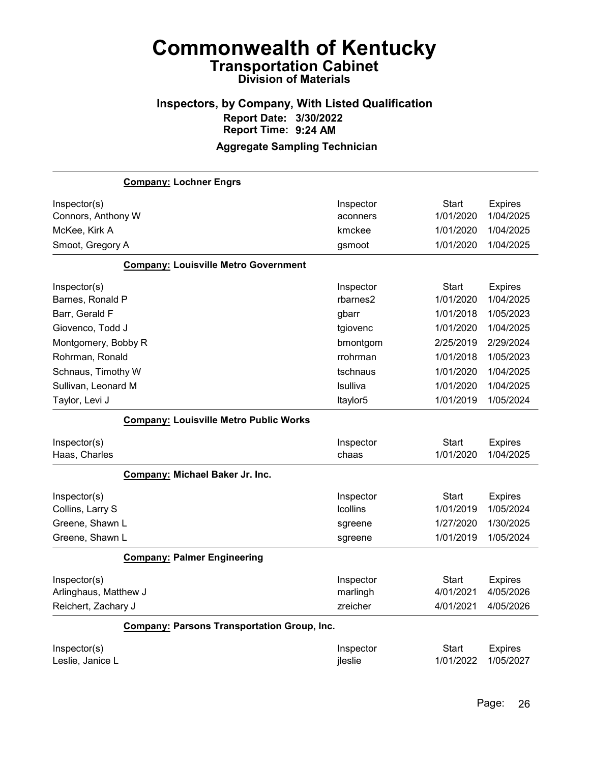### Inspectors, by Company, With Listed Qualification Report Date: 3/30/2022 Report Time: 9:24 AM Aggregate Sampling Technician

# Company: Lochner Engrs Inspector(s) **Inspector** Start Expires Connors, Anthony W aconners 1/01/2020 1/04/2025 McKee, Kirk A kmckee 1/01/2020 1/04/2025 Smoot, Gregory A gsmoot 1/01/2020 1/04/2025 Company: Louisville Metro Government Inspector(s) **Inspector** Start Expires Barnes, Ronald P rbarnes2 1/01/2020 1/04/2025 Barr, Gerald F gbarr 1/01/2018 1/05/2023 Giovenco, Todd J tgiovenc 1/01/2020 1/04/2025 Montgomery, Bobby R bmontgom 2/25/2019 2/29/2024 Rohrman, Ronald rrohrman 1/01/2018 1/05/2023 Schnaus, Timothy W tschnaus 1/01/2020 1/04/2025 Sullivan, Leonard M lsulliva 1/01/2020 1/04/2025 Taylor, Levi J ltaylor5 1/01/2019 1/05/2024 Company: Louisville Metro Public Works Inspector(s) **Inspector** Start Expires Haas, Charles chaas 1/01/2020 1/04/2025 Company: Michael Baker Jr. Inc. Inspector(s) **Inspector** Start Expires Collins, Larry S lcollins 1/01/2019 1/05/2024 Greene, Shawn L **Shawn L** Shawn L sgreene 50 and the state of the square square to the square to the square to the square to the square to the square to the square to the square to the square to the square to the square to Greene, Shawn L **Shawn L** sgreene 31/01/2019 1/05/2024 Company: Palmer Engineering Inspector(s) **Inspector** Start Expires Arlinghaus, Matthew J **Matthew J** marlingh 4/01/2021 4/05/2026 Reichert, Zachary J zreicher 4/01/2021 4/05/2026 Company: Parsons Transportation Group, Inc. Inspector(s) **Inspector** Start Expires Leslie, Janice L jleslie 1/01/2022 1/05/2027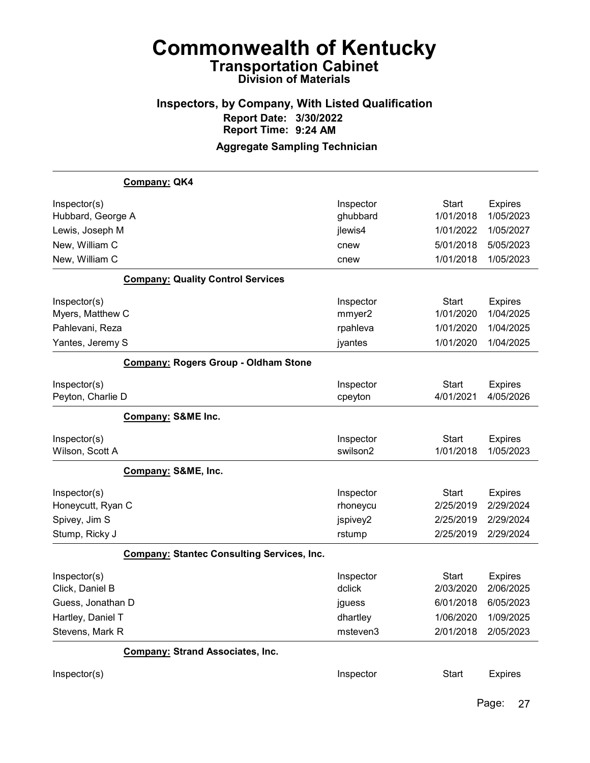# Inspectors, by Company, With Listed Qualification Report Date: 3/30/2022 Report Time: 9:24 AM

|                   | Company: QK4                                      |           |              |                |
|-------------------|---------------------------------------------------|-----------|--------------|----------------|
| Inspector(s)      |                                                   | Inspector | <b>Start</b> | <b>Expires</b> |
| Hubbard, George A |                                                   | ghubbard  | 1/01/2018    | 1/05/2023      |
| Lewis, Joseph M   |                                                   | jlewis4   | 1/01/2022    | 1/05/2027      |
| New, William C    |                                                   | cnew      | 5/01/2018    | 5/05/2023      |
| New, William C    |                                                   | cnew      | 1/01/2018    | 1/05/2023      |
|                   | <b>Company: Quality Control Services</b>          |           |              |                |
| Inspector(s)      |                                                   | Inspector | <b>Start</b> | <b>Expires</b> |
| Myers, Matthew C  |                                                   | mmyer2    | 1/01/2020    | 1/04/2025      |
| Pahlevani, Reza   |                                                   | rpahleva  | 1/01/2020    | 1/04/2025      |
| Yantes, Jeremy S  |                                                   | jyantes   | 1/01/2020    | 1/04/2025      |
|                   | <b>Company: Rogers Group - Oldham Stone</b>       |           |              |                |
| Inspector(s)      |                                                   | Inspector | <b>Start</b> | <b>Expires</b> |
| Peyton, Charlie D |                                                   | cpeyton   | 4/01/2021    | 4/05/2026      |
|                   | Company: S&ME Inc.                                |           |              |                |
| Inspector(s)      |                                                   | Inspector | <b>Start</b> | <b>Expires</b> |
| Wilson, Scott A   |                                                   | swilson2  | 1/01/2018    | 1/05/2023      |
|                   | Company: S&ME, Inc.                               |           |              |                |
| Inspector(s)      |                                                   | Inspector | <b>Start</b> | <b>Expires</b> |
| Honeycutt, Ryan C |                                                   | rhoneycu  | 2/25/2019    | 2/29/2024      |
| Spivey, Jim S     |                                                   | jspivey2  | 2/25/2019    | 2/29/2024      |
| Stump, Ricky J    |                                                   | rstump    | 2/25/2019    | 2/29/2024      |
|                   | <b>Company: Stantec Consulting Services, Inc.</b> |           |              |                |
| Inspector(s)      |                                                   | Inspector | <b>Start</b> | <b>Expires</b> |
| Click, Daniel B   |                                                   | dclick    | 2/03/2020    | 2/06/2025      |
| Guess, Jonathan D |                                                   | jguess    | 6/01/2018    | 6/05/2023      |
| Hartley, Daniel T |                                                   | dhartley  | 1/06/2020    | 1/09/2025      |
| Stevens, Mark R   |                                                   | msteven3  | 2/01/2018    | 2/05/2023      |
|                   | <b>Company: Strand Associates, Inc.</b>           |           |              |                |
| Inspector(s)      |                                                   | Inspector | <b>Start</b> | <b>Expires</b> |